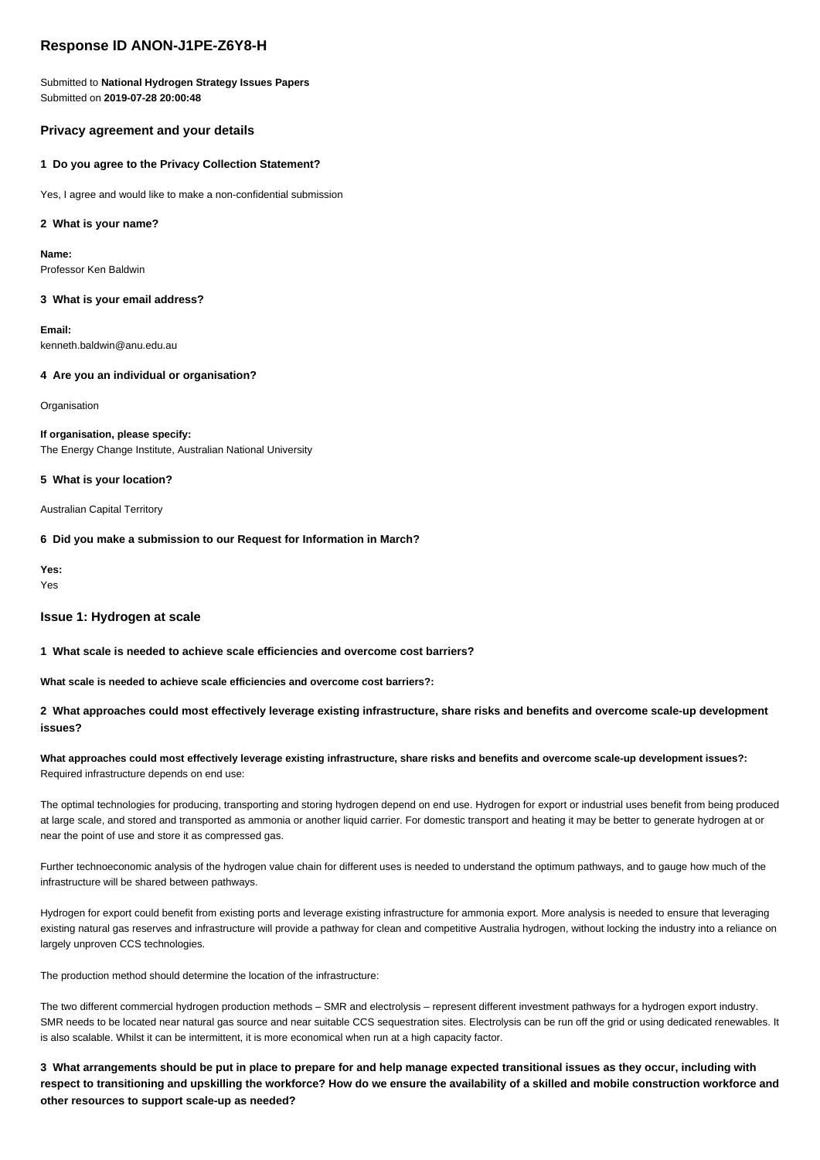## **Response ID ANON-J1PE-Z6Y8-H**

Submitted to **National Hydrogen Strategy Issues Papers** Submitted on **2019-07-28 20:00:48**

## **Privacy agreement and your details**

## **1 Do you agree to the Privacy Collection Statement?**

Yes, I agree and would like to make a non-confidential submission

## **2 What is your name?**

**Name:** Professor Ken Baldwin

#### **3 What is your email address?**

**Email:** kenneth.baldwin@anu.edu.au

## **4 Are you an individual or organisation?**

**Organisation** 

# **If organisation, please specify:**

The Energy Change Institute, Australian National University

## **5 What is your location?**

Australian Capital Territory

## **6 Did you make a submission to our Request for Information in March?**

**Yes:** Yes

# **Issue 1: Hydrogen at scale**

**1 What scale is needed to achieve scale efficiencies and overcome cost barriers?**

**What scale is needed to achieve scale efficiencies and overcome cost barriers?:**

## **2 What approaches could most effectively leverage existing infrastructure, share risks and benefits and overcome scale-up development issues?**

## **What approaches could most effectively leverage existing infrastructure, share risks and benefits and overcome scale-up development issues?:** Required infrastructure depends on end use:

The optimal technologies for producing, transporting and storing hydrogen depend on end use. Hydrogen for export or industrial uses benefit from being produced at large scale, and stored and transported as ammonia or another liquid carrier. For domestic transport and heating it may be better to generate hydrogen at or near the point of use and store it as compressed gas.

Further technoeconomic analysis of the hydrogen value chain for different uses is needed to understand the optimum pathways, and to gauge how much of the infrastructure will be shared between pathways.

Hydrogen for export could benefit from existing ports and leverage existing infrastructure for ammonia export. More analysis is needed to ensure that leveraging existing natural gas reserves and infrastructure will provide a pathway for clean and competitive Australia hydrogen, without locking the industry into a reliance on largely unproven CCS technologies.

The production method should determine the location of the infrastructure:

The two different commercial hydrogen production methods – SMR and electrolysis – represent different investment pathways for a hydrogen export industry. SMR needs to be located near natural gas source and near suitable CCS sequestration sites. Electrolysis can be run off the grid or using dedicated renewables. It is also scalable. Whilst it can be intermittent, it is more economical when run at a high capacity factor.

**3 What arrangements should be put in place to prepare for and help manage expected transitional issues as they occur, including with respect to transitioning and upskilling the workforce? How do we ensure the availability of a skilled and mobile construction workforce and other resources to support scale-up as needed?**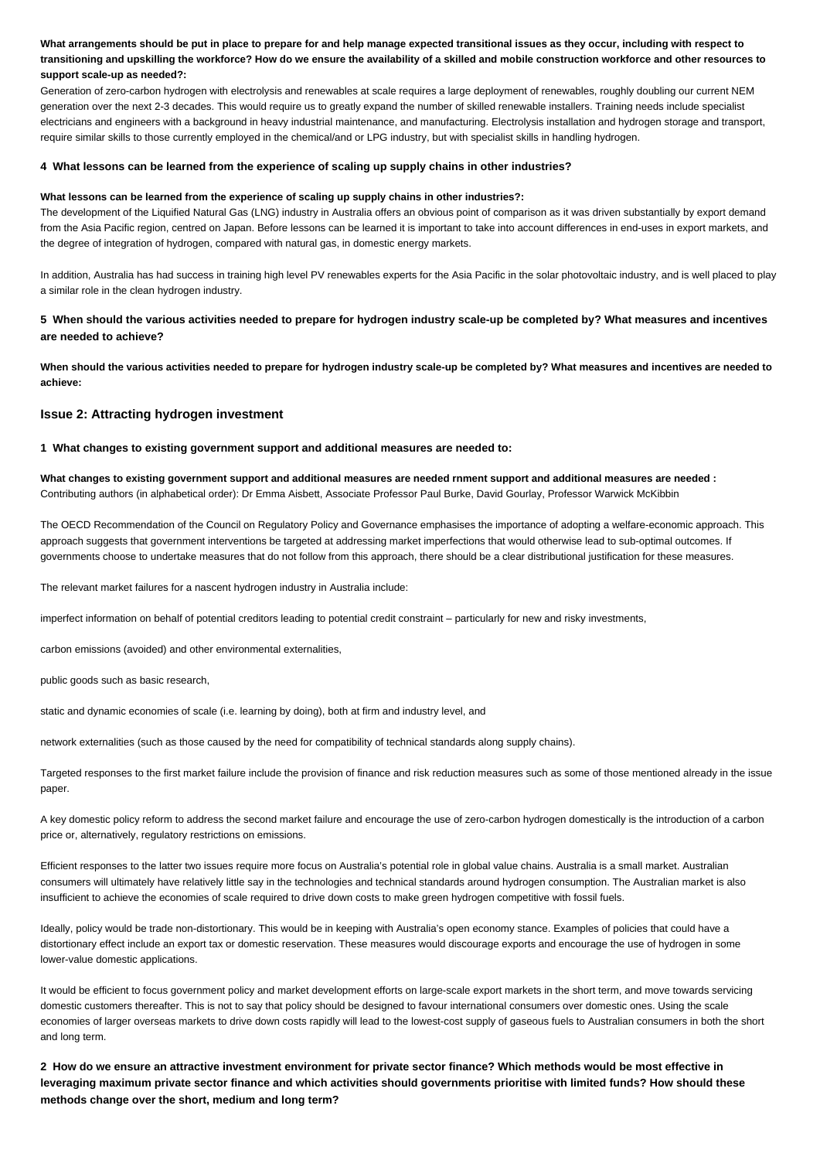**What arrangements should be put in place to prepare for and help manage expected transitional issues as they occur, including with respect to transitioning and upskilling the workforce? How do we ensure the availability of a skilled and mobile construction workforce and other resources to support scale-up as needed?:**

Generation of zero-carbon hydrogen with electrolysis and renewables at scale requires a large deployment of renewables, roughly doubling our current NEM generation over the next 2-3 decades. This would require us to greatly expand the number of skilled renewable installers. Training needs include specialist electricians and engineers with a background in heavy industrial maintenance, and manufacturing. Electrolysis installation and hydrogen storage and transport, require similar skills to those currently employed in the chemical/and or LPG industry, but with specialist skills in handling hydrogen.

#### **4 What lessons can be learned from the experience of scaling up supply chains in other industries?**

#### **What lessons can be learned from the experience of scaling up supply chains in other industries?:**

The development of the Liquified Natural Gas (LNG) industry in Australia offers an obvious point of comparison as it was driven substantially by export demand from the Asia Pacific region, centred on Japan. Before lessons can be learned it is important to take into account differences in end-uses in export markets, and the degree of integration of hydrogen, compared with natural gas, in domestic energy markets.

In addition, Australia has had success in training high level PV renewables experts for the Asia Pacific in the solar photovoltaic industry, and is well placed to play a similar role in the clean hydrogen industry.

## **5 When should the various activities needed to prepare for hydrogen industry scale-up be completed by? What measures and incentives are needed to achieve?**

**When should the various activities needed to prepare for hydrogen industry scale-up be completed by? What measures and incentives are needed to achieve:**

## **Issue 2: Attracting hydrogen investment**

## **1 What changes to existing government support and additional measures are needed to:**

**What changes to existing government support and additional measures are needed rnment support and additional measures are needed :** Contributing authors (in alphabetical order): Dr Emma Aisbett, Associate Professor Paul Burke, David Gourlay, Professor Warwick McKibbin

The OECD Recommendation of the Council on Regulatory Policy and Governance emphasises the importance of adopting a welfare-economic approach. This approach suggests that government interventions be targeted at addressing market imperfections that would otherwise lead to sub-optimal outcomes. If governments choose to undertake measures that do not follow from this approach, there should be a clear distributional justification for these measures.

The relevant market failures for a nascent hydrogen industry in Australia include:

imperfect information on behalf of potential creditors leading to potential credit constraint – particularly for new and risky investments,

carbon emissions (avoided) and other environmental externalities,

public goods such as basic research,

static and dynamic economies of scale (i.e. learning by doing), both at firm and industry level, and

network externalities (such as those caused by the need for compatibility of technical standards along supply chains).

Targeted responses to the first market failure include the provision of finance and risk reduction measures such as some of those mentioned already in the issue paper.

A key domestic policy reform to address the second market failure and encourage the use of zero-carbon hydrogen domestically is the introduction of a carbon price or, alternatively, regulatory restrictions on emissions.

Efficient responses to the latter two issues require more focus on Australia's potential role in global value chains. Australia is a small market. Australian consumers will ultimately have relatively little say in the technologies and technical standards around hydrogen consumption. The Australian market is also insufficient to achieve the economies of scale required to drive down costs to make green hydrogen competitive with fossil fuels.

Ideally, policy would be trade non-distortionary. This would be in keeping with Australia's open economy stance. Examples of policies that could have a distortionary effect include an export tax or domestic reservation. These measures would discourage exports and encourage the use of hydrogen in some lower-value domestic applications.

It would be efficient to focus government policy and market development efforts on large-scale export markets in the short term, and move towards servicing domestic customers thereafter. This is not to say that policy should be designed to favour international consumers over domestic ones. Using the scale economies of larger overseas markets to drive down costs rapidly will lead to the lowest-cost supply of gaseous fuels to Australian consumers in both the short and long term.

**2 How do we ensure an attractive investment environment for private sector finance? Which methods would be most effective in leveraging maximum private sector finance and which activities should governments prioritise with limited funds? How should these methods change over the short, medium and long term?**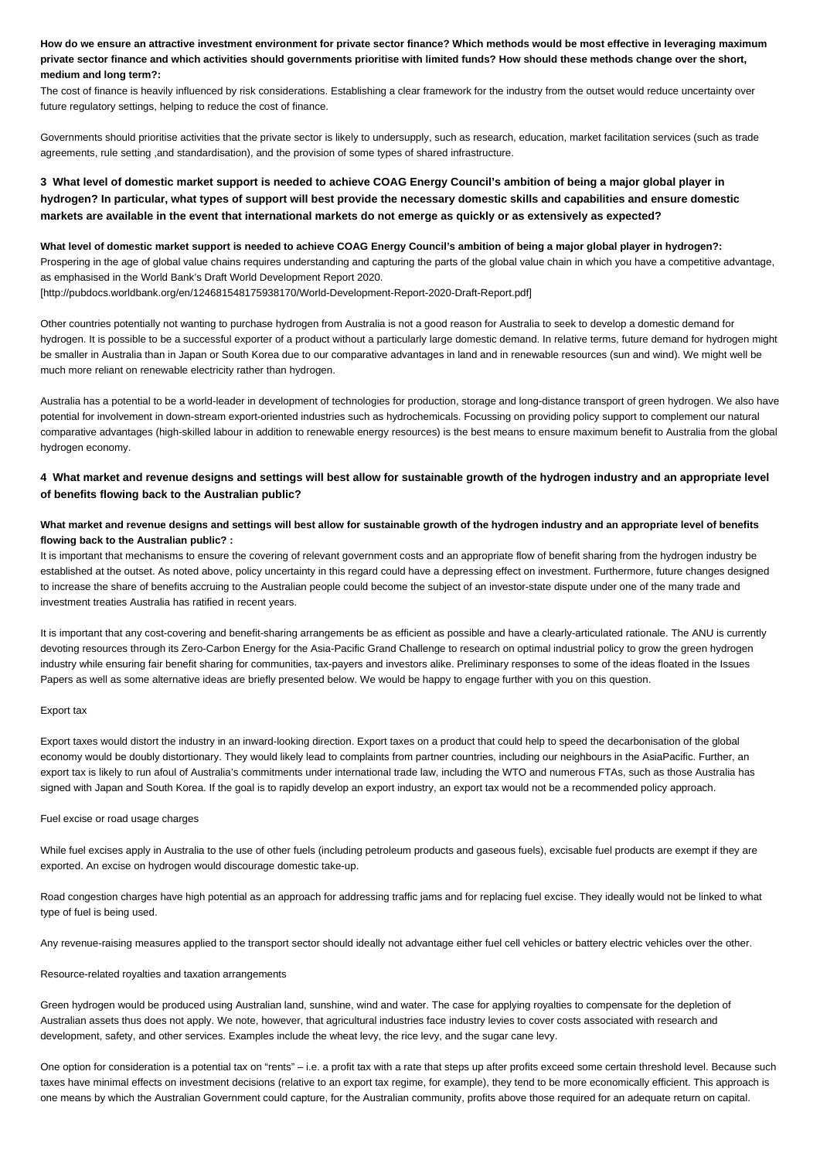**How do we ensure an attractive investment environment for private sector finance? Which methods would be most effective in leveraging maximum private sector finance and which activities should governments prioritise with limited funds? How should these methods change over the short, medium and long term?:**

The cost of finance is heavily influenced by risk considerations. Establishing a clear framework for the industry from the outset would reduce uncertainty over future regulatory settings, helping to reduce the cost of finance.

Governments should prioritise activities that the private sector is likely to undersupply, such as research, education, market facilitation services (such as trade agreements, rule setting ,and standardisation), and the provision of some types of shared infrastructure.

## **3 What level of domestic market support is needed to achieve COAG Energy Council's ambition of being a major global player in hydrogen? In particular, what types of support will best provide the necessary domestic skills and capabilities and ensure domestic markets are available in the event that international markets do not emerge as quickly or as extensively as expected?**

**What level of domestic market support is needed to achieve COAG Energy Council's ambition of being a major global player in hydrogen?:** Prospering in the age of global value chains requires understanding and capturing the parts of the global value chain in which you have a competitive advantage, as emphasised in the World Bank's Draft World Development Report 2020.

[http://pubdocs.worldbank.org/en/124681548175938170/World-Development-Report-2020-Draft-Report.pdf]

Other countries potentially not wanting to purchase hydrogen from Australia is not a good reason for Australia to seek to develop a domestic demand for hydrogen. It is possible to be a successful exporter of a product without a particularly large domestic demand. In relative terms, future demand for hydrogen might be smaller in Australia than in Japan or South Korea due to our comparative advantages in land and in renewable resources (sun and wind). We might well be much more reliant on renewable electricity rather than hydrogen.

Australia has a potential to be a world-leader in development of technologies for production, storage and long-distance transport of green hydrogen. We also have potential for involvement in down-stream export-oriented industries such as hydrochemicals. Focussing on providing policy support to complement our natural comparative advantages (high-skilled labour in addition to renewable energy resources) is the best means to ensure maximum benefit to Australia from the global hydrogen economy.

## **4 What market and revenue designs and settings will best allow for sustainable growth of the hydrogen industry and an appropriate level of benefits flowing back to the Australian public?**

## **What market and revenue designs and settings will best allow for sustainable growth of the hydrogen industry and an appropriate level of benefits flowing back to the Australian public? :**

It is important that mechanisms to ensure the covering of relevant government costs and an appropriate flow of benefit sharing from the hydrogen industry be established at the outset. As noted above, policy uncertainty in this regard could have a depressing effect on investment. Furthermore, future changes designed to increase the share of benefits accruing to the Australian people could become the subject of an investor-state dispute under one of the many trade and investment treaties Australia has ratified in recent years.

It is important that any cost-covering and benefit-sharing arrangements be as efficient as possible and have a clearly-articulated rationale. The ANU is currently devoting resources through its Zero-Carbon Energy for the Asia-Pacific Grand Challenge to research on optimal industrial policy to grow the green hydrogen industry while ensuring fair benefit sharing for communities, tax-payers and investors alike. Preliminary responses to some of the ideas floated in the Issues Papers as well as some alternative ideas are briefly presented below. We would be happy to engage further with you on this question.

#### Export tax

Export taxes would distort the industry in an inward-looking direction. Export taxes on a product that could help to speed the decarbonisation of the global economy would be doubly distortionary. They would likely lead to complaints from partner countries, including our neighbours in the AsiaPacific. Further, an export tax is likely to run afoul of Australia's commitments under international trade law, including the WTO and numerous FTAs, such as those Australia has signed with Japan and South Korea. If the goal is to rapidly develop an export industry, an export tax would not be a recommended policy approach.

## Fuel excise or road usage charges

While fuel excises apply in Australia to the use of other fuels (including petroleum products and gaseous fuels), excisable fuel products are exempt if they are exported. An excise on hydrogen would discourage domestic take-up.

Road congestion charges have high potential as an approach for addressing traffic jams and for replacing fuel excise. They ideally would not be linked to what type of fuel is being used.

Any revenue-raising measures applied to the transport sector should ideally not advantage either fuel cell vehicles or battery electric vehicles over the other.

#### Resource-related royalties and taxation arrangements

Green hydrogen would be produced using Australian land, sunshine, wind and water. The case for applying royalties to compensate for the depletion of Australian assets thus does not apply. We note, however, that agricultural industries face industry levies to cover costs associated with research and development, safety, and other services. Examples include the wheat levy, the rice levy, and the sugar cane levy.

One option for consideration is a potential tax on "rents" – i.e. a profit tax with a rate that steps up after profits exceed some certain threshold level. Because such taxes have minimal effects on investment decisions (relative to an export tax regime, for example), they tend to be more economically efficient. This approach is one means by which the Australian Government could capture, for the Australian community, profits above those required for an adequate return on capital.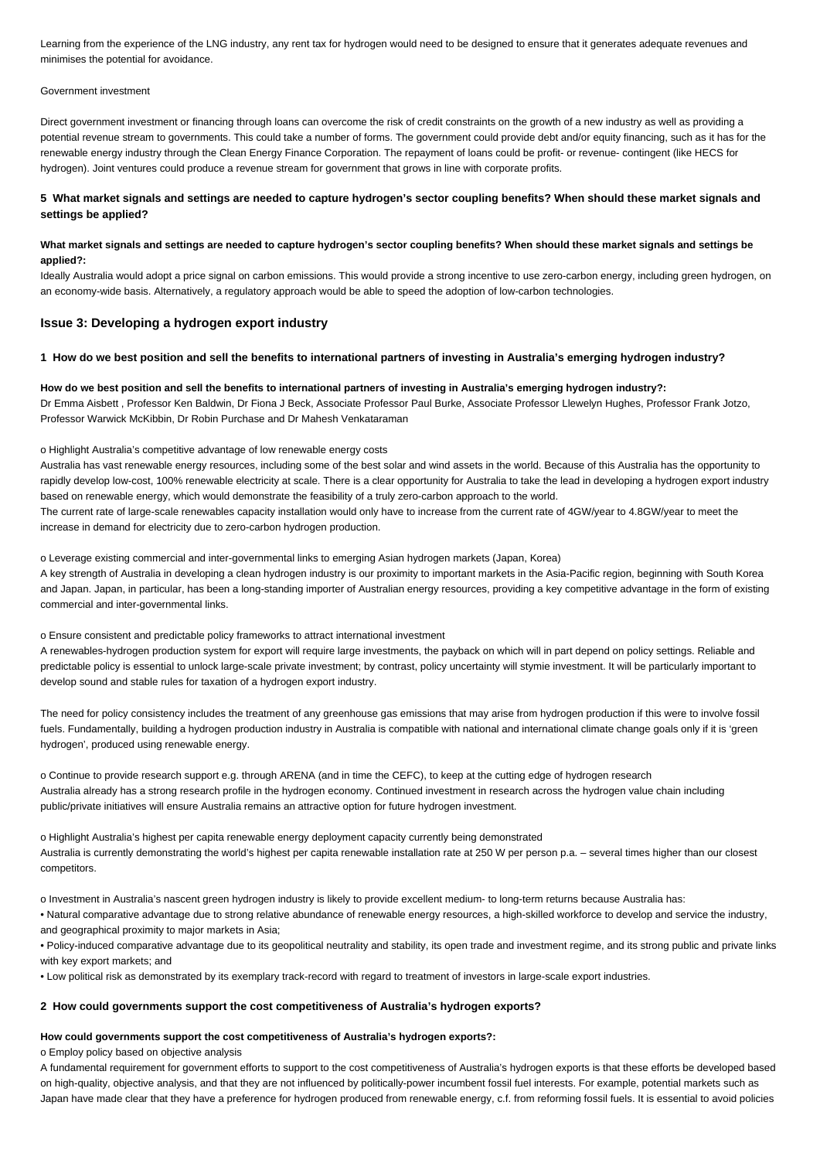Learning from the experience of the LNG industry, any rent tax for hydrogen would need to be designed to ensure that it generates adequate revenues and minimises the potential for avoidance.

#### Government investment

Direct government investment or financing through loans can overcome the risk of credit constraints on the growth of a new industry as well as providing a potential revenue stream to governments. This could take a number of forms. The government could provide debt and/or equity financing, such as it has for the renewable energy industry through the Clean Energy Finance Corporation. The repayment of loans could be profit- or revenue- contingent (like HECS for hydrogen). Joint ventures could produce a revenue stream for government that grows in line with corporate profits.

## **5 What market signals and settings are needed to capture hydrogen's sector coupling benefits? When should these market signals and settings be applied?**

## **What market signals and settings are needed to capture hydrogen's sector coupling benefits? When should these market signals and settings be applied?:**

Ideally Australia would adopt a price signal on carbon emissions. This would provide a strong incentive to use zero-carbon energy, including green hydrogen, on an economy-wide basis. Alternatively, a regulatory approach would be able to speed the adoption of low-carbon technologies.

## **Issue 3: Developing a hydrogen export industry**

#### **1 How do we best position and sell the benefits to international partners of investing in Australia's emerging hydrogen industry?**

#### **How do we best position and sell the benefits to international partners of investing in Australia's emerging hydrogen industry?:**

Dr Emma Aisbett , Professor Ken Baldwin, Dr Fiona J Beck, Associate Professor Paul Burke, Associate Professor Llewelyn Hughes, Professor Frank Jotzo, Professor Warwick McKibbin, Dr Robin Purchase and Dr Mahesh Venkataraman

#### o Highlight Australia's competitive advantage of low renewable energy costs

Australia has vast renewable energy resources, including some of the best solar and wind assets in the world. Because of this Australia has the opportunity to rapidly develop low-cost, 100% renewable electricity at scale. There is a clear opportunity for Australia to take the lead in developing a hydrogen export industry based on renewable energy, which would demonstrate the feasibility of a truly zero-carbon approach to the world.

The current rate of large-scale renewables capacity installation would only have to increase from the current rate of 4GW/year to 4.8GW/year to meet the increase in demand for electricity due to zero-carbon hydrogen production.

o Leverage existing commercial and inter-governmental links to emerging Asian hydrogen markets (Japan, Korea)

A key strength of Australia in developing a clean hydrogen industry is our proximity to important markets in the Asia-Pacific region, beginning with South Korea and Japan. Japan, in particular, has been a long-standing importer of Australian energy resources, providing a key competitive advantage in the form of existing commercial and inter-governmental links.

o Ensure consistent and predictable policy frameworks to attract international investment

A renewables-hydrogen production system for export will require large investments, the payback on which will in part depend on policy settings. Reliable and predictable policy is essential to unlock large-scale private investment; by contrast, policy uncertainty will stymie investment. It will be particularly important to develop sound and stable rules for taxation of a hydrogen export industry.

The need for policy consistency includes the treatment of any greenhouse gas emissions that may arise from hydrogen production if this were to involve fossil fuels. Fundamentally, building a hydrogen production industry in Australia is compatible with national and international climate change goals only if it is 'green hydrogen', produced using renewable energy.

o Continue to provide research support e.g. through ARENA (and in time the CEFC), to keep at the cutting edge of hydrogen research Australia already has a strong research profile in the hydrogen economy. Continued investment in research across the hydrogen value chain including public/private initiatives will ensure Australia remains an attractive option for future hydrogen investment.

o Highlight Australia's highest per capita renewable energy deployment capacity currently being demonstrated Australia is currently demonstrating the world's highest per capita renewable installation rate at 250 W per person p.a. – several times higher than our closest competitors.

o Investment in Australia's nascent green hydrogen industry is likely to provide excellent medium- to long-term returns because Australia has:

• Natural comparative advantage due to strong relative abundance of renewable energy resources, a high-skilled workforce to develop and service the industry, and geographical proximity to major markets in Asia;

• Policy-induced comparative advantage due to its geopolitical neutrality and stability, its open trade and investment regime, and its strong public and private links with key export markets; and

• Low political risk as demonstrated by its exemplary track-record with regard to treatment of investors in large-scale export industries.

## **2 How could governments support the cost competitiveness of Australia's hydrogen exports?**

#### **How could governments support the cost competitiveness of Australia's hydrogen exports?:**

o Employ policy based on objective analysis

A fundamental requirement for government efforts to support to the cost competitiveness of Australia's hydrogen exports is that these efforts be developed based on high-quality, objective analysis, and that they are not influenced by politically-power incumbent fossil fuel interests. For example, potential markets such as Japan have made clear that they have a preference for hydrogen produced from renewable energy, c.f. from reforming fossil fuels. It is essential to avoid policies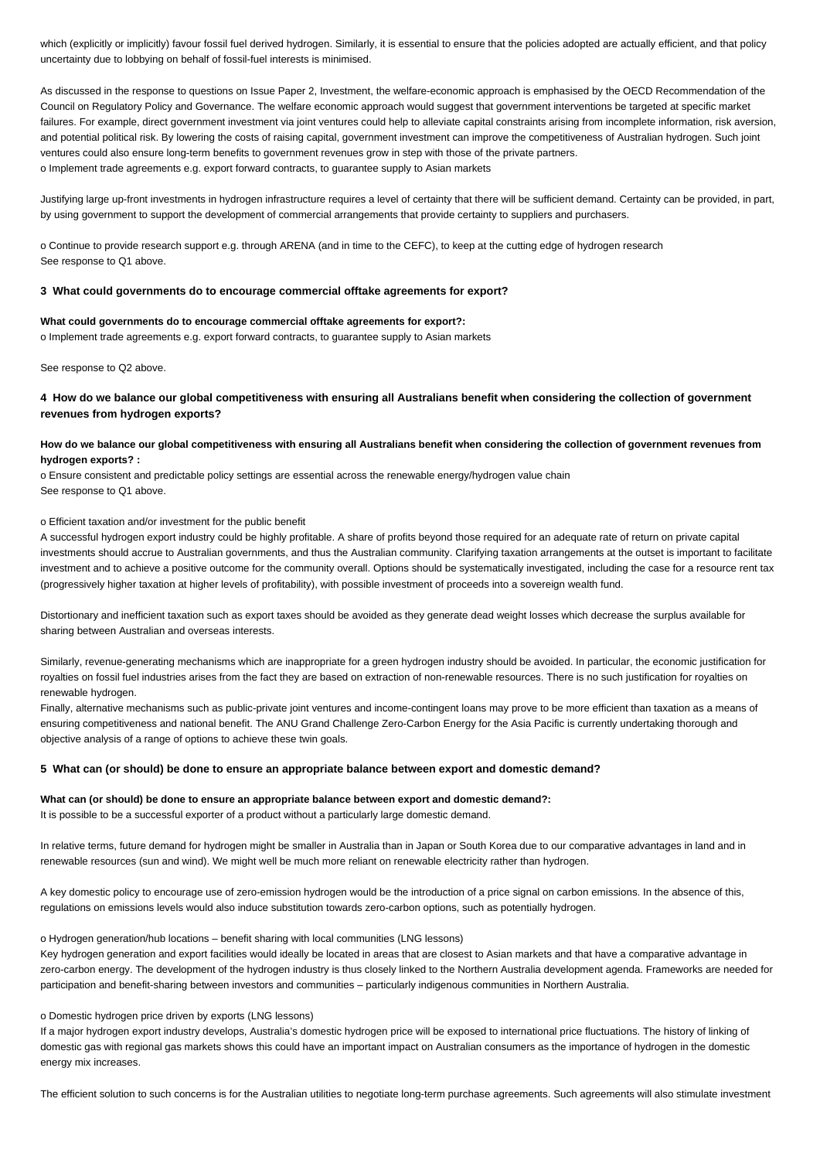which (explicitly or implicitly) favour fossil fuel derived hydrogen. Similarly, it is essential to ensure that the policies adopted are actually efficient, and that policy uncertainty due to lobbying on behalf of fossil-fuel interests is minimised.

As discussed in the response to questions on Issue Paper 2, Investment, the welfare-economic approach is emphasised by the OECD Recommendation of the Council on Regulatory Policy and Governance. The welfare economic approach would suggest that government interventions be targeted at specific market failures. For example, direct government investment via joint ventures could help to alleviate capital constraints arising from incomplete information, risk aversion, and potential political risk. By lowering the costs of raising capital, government investment can improve the competitiveness of Australian hydrogen. Such joint ventures could also ensure long-term benefits to government revenues grow in step with those of the private partners. o Implement trade agreements e.g. export forward contracts, to guarantee supply to Asian markets

Justifying large up-front investments in hydrogen infrastructure requires a level of certainty that there will be sufficient demand. Certainty can be provided, in part, by using government to support the development of commercial arrangements that provide certainty to suppliers and purchasers.

o Continue to provide research support e.g. through ARENA (and in time to the CEFC), to keep at the cutting edge of hydrogen research See response to Q1 above.

#### **3 What could governments do to encourage commercial offtake agreements for export?**

#### **What could governments do to encourage commercial offtake agreements for export?:**

o Implement trade agreements e.g. export forward contracts, to guarantee supply to Asian markets

See response to Q2 above.

## **4 How do we balance our global competitiveness with ensuring all Australians benefit when considering the collection of government revenues from hydrogen exports?**

## **How do we balance our global competitiveness with ensuring all Australians benefit when considering the collection of government revenues from hydrogen exports? :**

o Ensure consistent and predictable policy settings are essential across the renewable energy/hydrogen value chain See response to Q1 above.

#### o Efficient taxation and/or investment for the public benefit

A successful hydrogen export industry could be highly profitable. A share of profits beyond those required for an adequate rate of return on private capital investments should accrue to Australian governments, and thus the Australian community. Clarifying taxation arrangements at the outset is important to facilitate investment and to achieve a positive outcome for the community overall. Options should be systematically investigated, including the case for a resource rent tax (progressively higher taxation at higher levels of profitability), with possible investment of proceeds into a sovereign wealth fund.

Distortionary and inefficient taxation such as export taxes should be avoided as they generate dead weight losses which decrease the surplus available for sharing between Australian and overseas interests.

Similarly, revenue-generating mechanisms which are inappropriate for a green hydrogen industry should be avoided. In particular, the economic justification for royalties on fossil fuel industries arises from the fact they are based on extraction of non-renewable resources. There is no such justification for royalties on renewable hydrogen.

Finally, alternative mechanisms such as public-private joint ventures and income-contingent loans may prove to be more efficient than taxation as a means of ensuring competitiveness and national benefit. The ANU Grand Challenge Zero-Carbon Energy for the Asia Pacific is currently undertaking thorough and objective analysis of a range of options to achieve these twin goals.

#### **5 What can (or should) be done to ensure an appropriate balance between export and domestic demand?**

#### **What can (or should) be done to ensure an appropriate balance between export and domestic demand?:**

It is possible to be a successful exporter of a product without a particularly large domestic demand.

In relative terms, future demand for hydrogen might be smaller in Australia than in Japan or South Korea due to our comparative advantages in land and in renewable resources (sun and wind). We might well be much more reliant on renewable electricity rather than hydrogen.

A key domestic policy to encourage use of zero-emission hydrogen would be the introduction of a price signal on carbon emissions. In the absence of this, regulations on emissions levels would also induce substitution towards zero-carbon options, such as potentially hydrogen.

#### o Hydrogen generation/hub locations – benefit sharing with local communities (LNG lessons)

Key hydrogen generation and export facilities would ideally be located in areas that are closest to Asian markets and that have a comparative advantage in zero-carbon energy. The development of the hydrogen industry is thus closely linked to the Northern Australia development agenda. Frameworks are needed for participation and benefit-sharing between investors and communities – particularly indigenous communities in Northern Australia.

#### o Domestic hydrogen price driven by exports (LNG lessons)

If a major hydrogen export industry develops, Australia's domestic hydrogen price will be exposed to international price fluctuations. The history of linking of domestic gas with regional gas markets shows this could have an important impact on Australian consumers as the importance of hydrogen in the domestic energy mix increases.

The efficient solution to such concerns is for the Australian utilities to negotiate long-term purchase agreements. Such agreements will also stimulate investment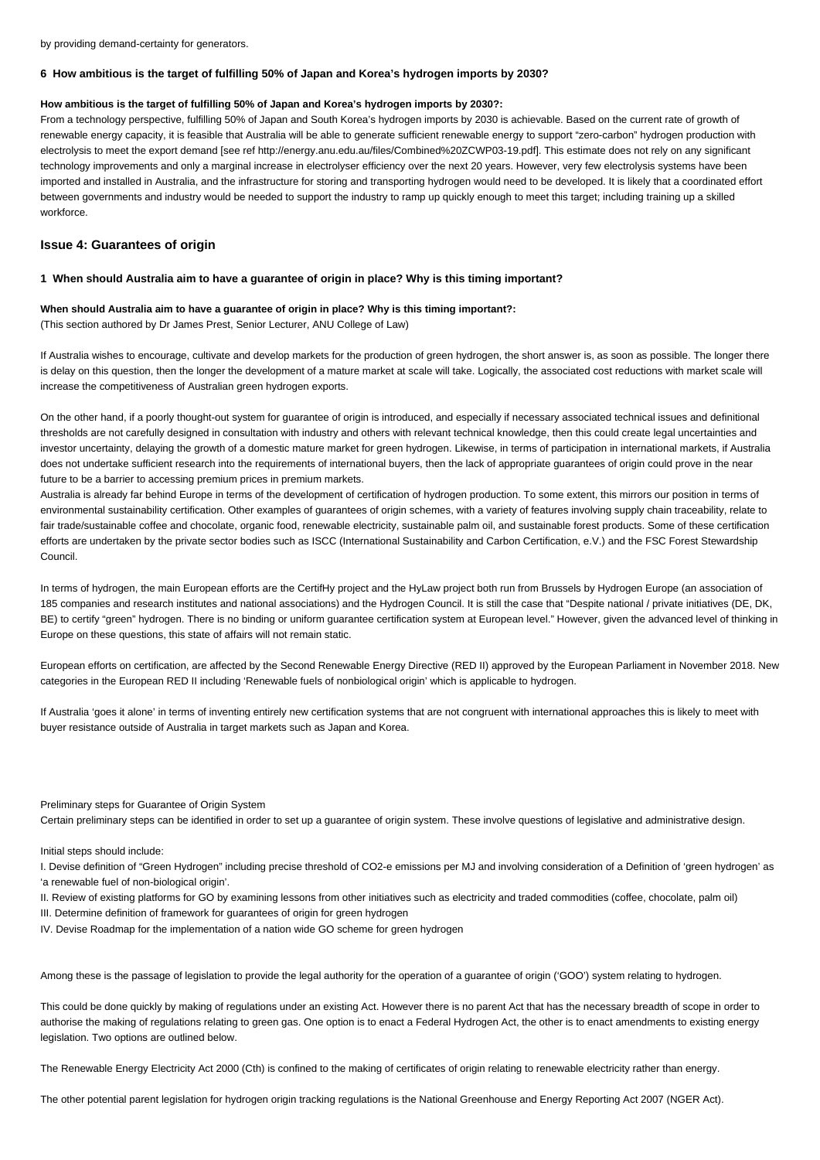by providing demand-certainty for generators.

#### **6 How ambitious is the target of fulfilling 50% of Japan and Korea's hydrogen imports by 2030?**

#### **How ambitious is the target of fulfilling 50% of Japan and Korea's hydrogen imports by 2030?:**

From a technology perspective, fulfilling 50% of Japan and South Korea's hydrogen imports by 2030 is achievable. Based on the current rate of growth of renewable energy capacity, it is feasible that Australia will be able to generate sufficient renewable energy to support "zero-carbon" hydrogen production with electrolysis to meet the export demand [see ref http://energy.anu.edu.au/files/Combined%20ZCWP03-19.pdf]. This estimate does not rely on any significant technology improvements and only a marginal increase in electrolyser efficiency over the next 20 years. However, very few electrolysis systems have been imported and installed in Australia, and the infrastructure for storing and transporting hydrogen would need to be developed. It is likely that a coordinated effort between governments and industry would be needed to support the industry to ramp up quickly enough to meet this target; including training up a skilled workforce.

## **Issue 4: Guarantees of origin**

## **1 When should Australia aim to have a guarantee of origin in place? Why is this timing important?**

## **When should Australia aim to have a guarantee of origin in place? Why is this timing important?:** (This section authored by Dr James Prest, Senior Lecturer, ANU College of Law)

If Australia wishes to encourage, cultivate and develop markets for the production of green hydrogen, the short answer is, as soon as possible. The longer there is delay on this question, then the longer the development of a mature market at scale will take. Logically, the associated cost reductions with market scale will increase the competitiveness of Australian green hydrogen exports.

On the other hand, if a poorly thought-out system for guarantee of origin is introduced, and especially if necessary associated technical issues and definitional thresholds are not carefully designed in consultation with industry and others with relevant technical knowledge, then this could create legal uncertainties and investor uncertainty, delaying the growth of a domestic mature market for green hydrogen. Likewise, in terms of participation in international markets, if Australia does not undertake sufficient research into the requirements of international buyers, then the lack of appropriate guarantees of origin could prove in the near future to be a barrier to accessing premium prices in premium markets.

Australia is already far behind Europe in terms of the development of certification of hydrogen production. To some extent, this mirrors our position in terms of environmental sustainability certification. Other examples of guarantees of origin schemes, with a variety of features involving supply chain traceability, relate to fair trade/sustainable coffee and chocolate, organic food, renewable electricity, sustainable palm oil, and sustainable forest products. Some of these certification efforts are undertaken by the private sector bodies such as ISCC (International Sustainability and Carbon Certification, e.V.) and the FSC Forest Stewardship Council.

In terms of hydrogen, the main European efforts are the CertifHy project and the HyLaw project both run from Brussels by Hydrogen Europe (an association of 185 companies and research institutes and national associations) and the Hydrogen Council. It is still the case that "Despite national / private initiatives (DE, DK, BE) to certify "green" hydrogen. There is no binding or uniform quarantee certification system at European level." However, given the advanced level of thinking in Europe on these questions, this state of affairs will not remain static.

European efforts on certification, are affected by the Second Renewable Energy Directive (RED II) approved by the European Parliament in November 2018. New categories in the European RED II including 'Renewable fuels of nonbiological origin' which is applicable to hydrogen.

If Australia 'goes it alone' in terms of inventing entirely new certification systems that are not congruent with international approaches this is likely to meet with buyer resistance outside of Australia in target markets such as Japan and Korea.

## Preliminary steps for Guarantee of Origin System

Certain preliminary steps can be identified in order to set up a guarantee of origin system. These involve questions of legislative and administrative design.

#### Initial steps should include:

I. Devise definition of "Green Hydrogen" including precise threshold of CO2-e emissions per MJ and involving consideration of a Definition of 'green hydrogen' as 'a renewable fuel of non-biological origin'.

- II. Review of existing platforms for GO by examining lessons from other initiatives such as electricity and traded commodities (coffee, chocolate, palm oil)
- III. Determine definition of framework for guarantees of origin for green hydrogen
- IV. Devise Roadmap for the implementation of a nation wide GO scheme for green hydrogen

Among these is the passage of legislation to provide the legal authority for the operation of a guarantee of origin ('GOO') system relating to hydrogen.

This could be done quickly by making of regulations under an existing Act. However there is no parent Act that has the necessary breadth of scope in order to authorise the making of regulations relating to green gas. One option is to enact a Federal Hydrogen Act, the other is to enact amendments to existing energy legislation. Two options are outlined below.

The Renewable Energy Electricity Act 2000 (Cth) is confined to the making of certificates of origin relating to renewable electricity rather than energy.

The other potential parent legislation for hydrogen origin tracking regulations is the National Greenhouse and Energy Reporting Act 2007 (NGER Act).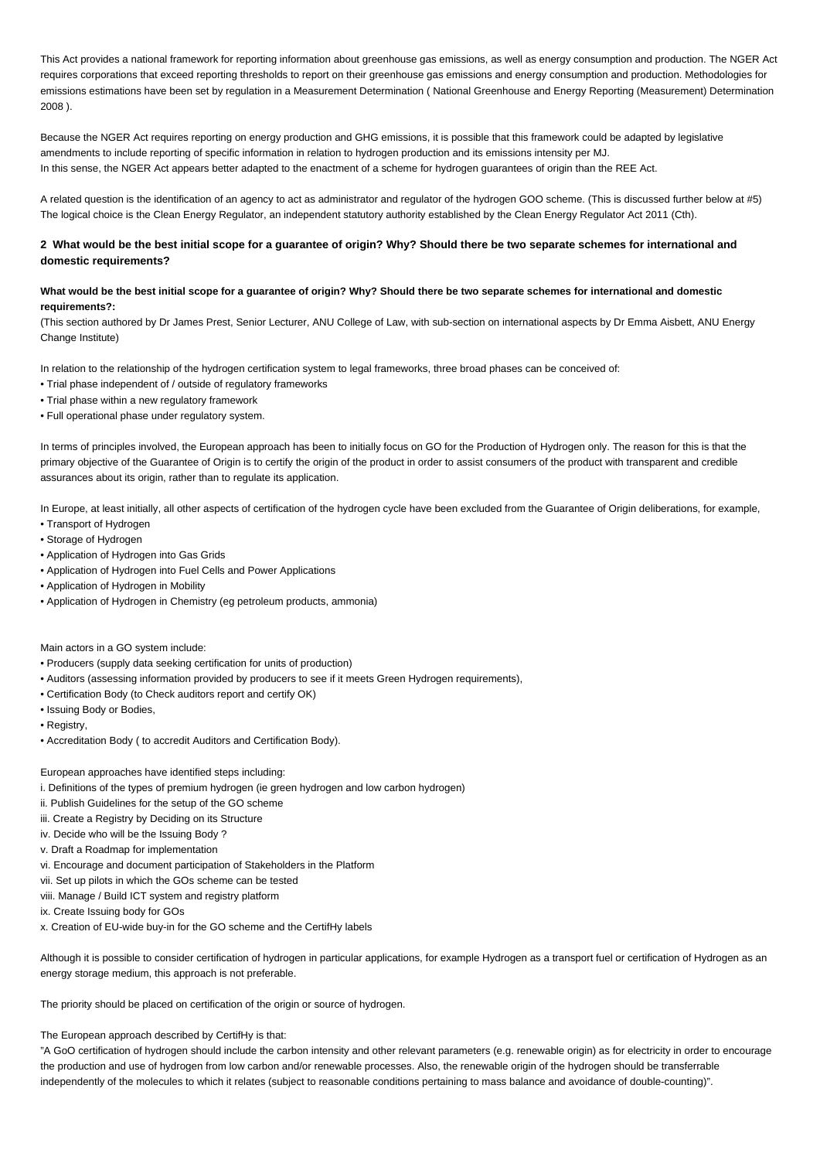This Act provides a national framework for reporting information about greenhouse gas emissions, as well as energy consumption and production. The NGER Act requires corporations that exceed reporting thresholds to report on their greenhouse gas emissions and energy consumption and production. Methodologies for emissions estimations have been set by regulation in a Measurement Determination ( National Greenhouse and Energy Reporting (Measurement) Determination 2008 ).

Because the NGER Act requires reporting on energy production and GHG emissions, it is possible that this framework could be adapted by legislative amendments to include reporting of specific information in relation to hydrogen production and its emissions intensity per MJ. In this sense, the NGER Act appears better adapted to the enactment of a scheme for hydrogen guarantees of origin than the REE Act.

A related question is the identification of an agency to act as administrator and regulator of the hydrogen GOO scheme. (This is discussed further below at #5) The logical choice is the Clean Energy Regulator, an independent statutory authority established by the Clean Energy Regulator Act 2011 (Cth).

## **2 What would be the best initial scope for a guarantee of origin? Why? Should there be two separate schemes for international and domestic requirements?**

## **What would be the best initial scope for a guarantee of origin? Why? Should there be two separate schemes for international and domestic requirements?:**

(This section authored by Dr James Prest, Senior Lecturer, ANU College of Law, with sub-section on international aspects by Dr Emma Aisbett, ANU Energy Change Institute)

In relation to the relationship of the hydrogen certification system to legal frameworks, three broad phases can be conceived of:

- Trial phase independent of / outside of regulatory frameworks
- Trial phase within a new regulatory framework
- Full operational phase under regulatory system.

In terms of principles involved, the European approach has been to initially focus on GO for the Production of Hydrogen only. The reason for this is that the primary objective of the Guarantee of Origin is to certify the origin of the product in order to assist consumers of the product with transparent and credible assurances about its origin, rather than to regulate its application.

In Europe, at least initially, all other aspects of certification of the hydrogen cycle have been excluded from the Guarantee of Origin deliberations, for example,

- Transport of Hydrogen
- Storage of Hydrogen
- Application of Hydrogen into Gas Grids
- Application of Hydrogen into Fuel Cells and Power Applications
- Application of Hydrogen in Mobility
- Application of Hydrogen in Chemistry (eg petroleum products, ammonia)

Main actors in a GO system include:

- Producers (supply data seeking certification for units of production)
- Auditors (assessing information provided by producers to see if it meets Green Hydrogen requirements),
- Certification Body (to Check auditors report and certify OK)
- Issuing Body or Bodies,
- Registry,
- Accreditation Body ( to accredit Auditors and Certification Body).

European approaches have identified steps including:

- i. Definitions of the types of premium hydrogen (ie green hydrogen and low carbon hydrogen)
- ii. Publish Guidelines for the setup of the GO scheme
- iii. Create a Registry by Deciding on its Structure
- iv. Decide who will be the Issuing Body ?
- v. Draft a Roadmap for implementation
- vi. Encourage and document participation of Stakeholders in the Platform
- vii. Set up pilots in which the GOs scheme can be tested
- viii. Manage / Build ICT system and registry platform
- ix. Create Issuing body for GOs
- x. Creation of EU-wide buy-in for the GO scheme and the CertifHy labels

Although it is possible to consider certification of hydrogen in particular applications, for example Hydrogen as a transport fuel or certification of Hydrogen as an energy storage medium, this approach is not preferable.

The priority should be placed on certification of the origin or source of hydrogen.

The European approach described by CertifHy is that:

"A GoO certification of hydrogen should include the carbon intensity and other relevant parameters (e.g. renewable origin) as for electricity in order to encourage the production and use of hydrogen from low carbon and/or renewable processes. Also, the renewable origin of the hydrogen should be transferrable independently of the molecules to which it relates (subject to reasonable conditions pertaining to mass balance and avoidance of double-counting)".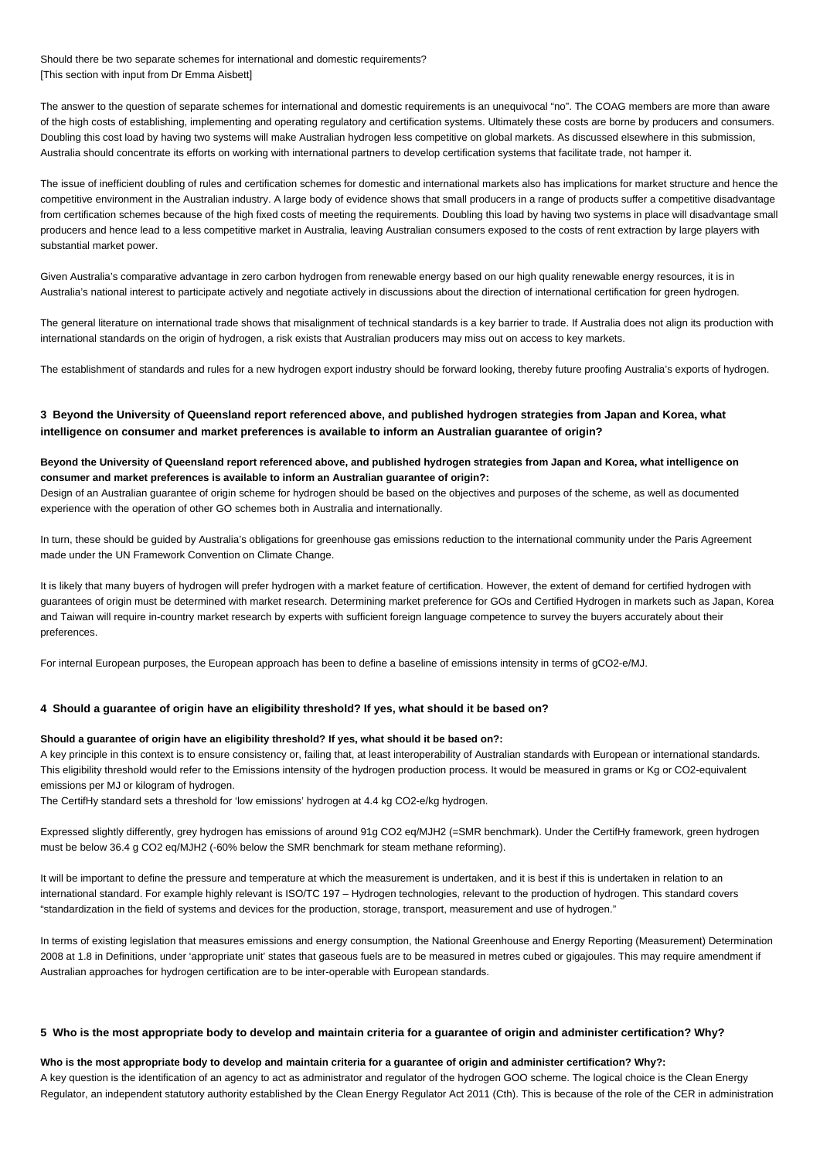Should there be two separate schemes for international and domestic requirements? [This section with input from Dr Emma Aisbett]

The answer to the question of separate schemes for international and domestic requirements is an unequivocal "no". The COAG members are more than aware of the high costs of establishing, implementing and operating regulatory and certification systems. Ultimately these costs are borne by producers and consumers. Doubling this cost load by having two systems will make Australian hydrogen less competitive on global markets. As discussed elsewhere in this submission, Australia should concentrate its efforts on working with international partners to develop certification systems that facilitate trade, not hamper it.

The issue of inefficient doubling of rules and certification schemes for domestic and international markets also has implications for market structure and hence the competitive environment in the Australian industry. A large body of evidence shows that small producers in a range of products suffer a competitive disadvantage from certification schemes because of the high fixed costs of meeting the requirements. Doubling this load by having two systems in place will disadvantage small producers and hence lead to a less competitive market in Australia, leaving Australian consumers exposed to the costs of rent extraction by large players with substantial market power.

Given Australia's comparative advantage in zero carbon hydrogen from renewable energy based on our high quality renewable energy resources, it is in Australia's national interest to participate actively and negotiate actively in discussions about the direction of international certification for green hydrogen.

The general literature on international trade shows that misalignment of technical standards is a key barrier to trade. If Australia does not align its production with international standards on the origin of hydrogen, a risk exists that Australian producers may miss out on access to key markets.

The establishment of standards and rules for a new hydrogen export industry should be forward looking, thereby future proofing Australia's exports of hydrogen.

## **3 Beyond the University of Queensland report referenced above, and published hydrogen strategies from Japan and Korea, what intelligence on consumer and market preferences is available to inform an Australian guarantee of origin?**

## **Beyond the University of Queensland report referenced above, and published hydrogen strategies from Japan and Korea, what intelligence on consumer and market preferences is available to inform an Australian guarantee of origin?:**

Design of an Australian guarantee of origin scheme for hydrogen should be based on the objectives and purposes of the scheme, as well as documented experience with the operation of other GO schemes both in Australia and internationally.

In turn, these should be guided by Australia's obligations for greenhouse gas emissions reduction to the international community under the Paris Agreement made under the UN Framework Convention on Climate Change.

It is likely that many buyers of hydrogen will prefer hydrogen with a market feature of certification. However, the extent of demand for certified hydrogen with guarantees of origin must be determined with market research. Determining market preference for GOs and Certified Hydrogen in markets such as Japan, Korea and Taiwan will require in-country market research by experts with sufficient foreign language competence to survey the buyers accurately about their preferences.

For internal European purposes, the European approach has been to define a baseline of emissions intensity in terms of gCO2-e/MJ.

## **4 Should a guarantee of origin have an eligibility threshold? If yes, what should it be based on?**

#### **Should a guarantee of origin have an eligibility threshold? If yes, what should it be based on?:**

A key principle in this context is to ensure consistency or, failing that, at least interoperability of Australian standards with European or international standards. This eligibility threshold would refer to the Emissions intensity of the hydrogen production process. It would be measured in grams or Kg or CO2-equivalent emissions per MJ or kilogram of hydrogen.

The CertifHy standard sets a threshold for 'low emissions' hydrogen at 4.4 kg CO2-e/kg hydrogen.

Expressed slightly differently, grey hydrogen has emissions of around 91g CO2 eq/MJH2 (=SMR benchmark). Under the CertifHy framework, green hydrogen must be below 36.4 g CO2 eq/MJH2 (-60% below the SMR benchmark for steam methane reforming).

It will be important to define the pressure and temperature at which the measurement is undertaken, and it is best if this is undertaken in relation to an international standard. For example highly relevant is ISO/TC 197 – Hydrogen technologies, relevant to the production of hydrogen. This standard covers "standardization in the field of systems and devices for the production, storage, transport, measurement and use of hydrogen."

In terms of existing legislation that measures emissions and energy consumption, the National Greenhouse and Energy Reporting (Measurement) Determination 2008 at 1.8 in Definitions, under 'appropriate unit' states that gaseous fuels are to be measured in metres cubed or gigajoules. This may require amendment if Australian approaches for hydrogen certification are to be inter-operable with European standards.

## **5 Who is the most appropriate body to develop and maintain criteria for a guarantee of origin and administer certification? Why?**

## **Who is the most appropriate body to develop and maintain criteria for a guarantee of origin and administer certification? Why?:**

A key question is the identification of an agency to act as administrator and regulator of the hydrogen GOO scheme. The logical choice is the Clean Energy Regulator, an independent statutory authority established by the Clean Energy Regulator Act 2011 (Cth). This is because of the role of the CER in administration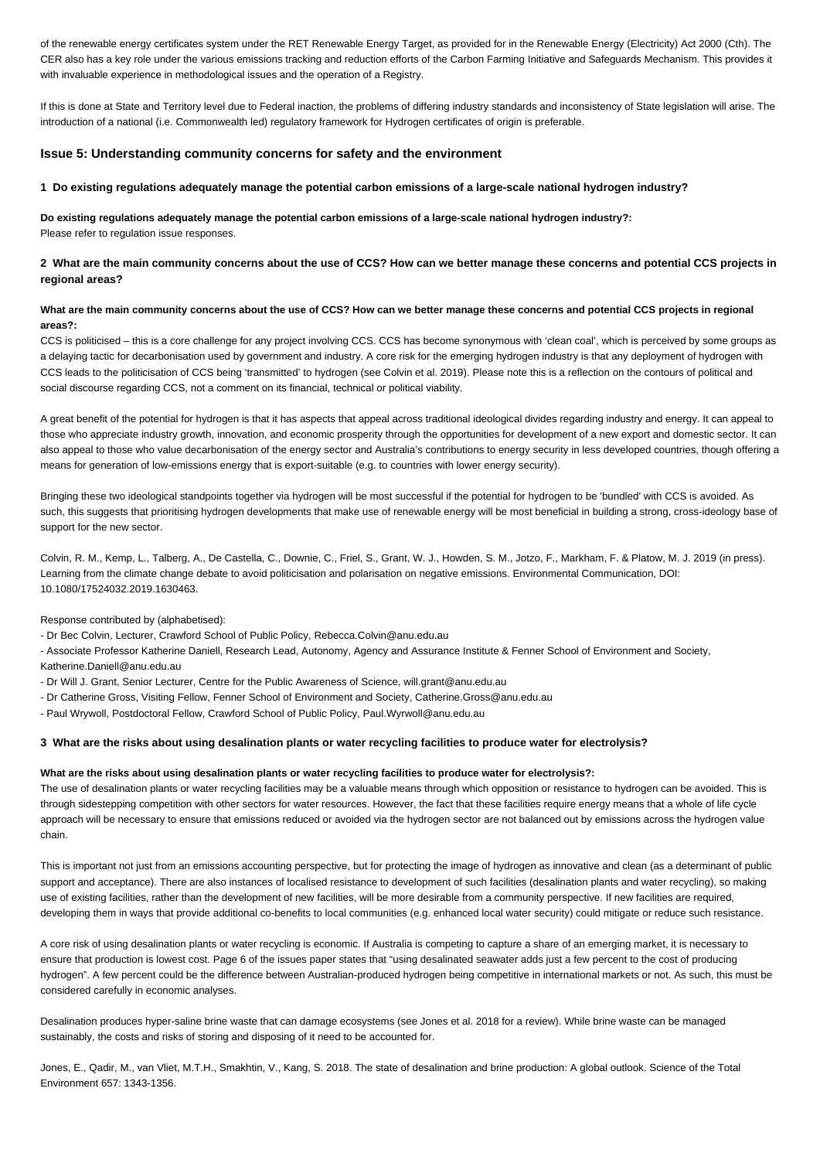of the renewable energy certificates system under the RET Renewable Energy Target, as provided for in the Renewable Energy (Electricity) Act 2000 (Cth). The CER also has a key role under the various emissions tracking and reduction efforts of the Carbon Farming Initiative and Safeguards Mechanism. This provides it with invaluable experience in methodological issues and the operation of a Registry.

If this is done at State and Territory level due to Federal inaction, the problems of differing industry standards and inconsistency of State legislation will arise. The introduction of a national (i.e. Commonwealth led) regulatory framework for Hydrogen certificates of origin is preferable.

## **Issue 5: Understanding community concerns for safety and the environment**

## **1 Do existing regulations adequately manage the potential carbon emissions of a large-scale national hydrogen industry?**

**Do existing regulations adequately manage the potential carbon emissions of a large-scale national hydrogen industry?:** Please refer to regulation issue responses.

## **2 What are the main community concerns about the use of CCS? How can we better manage these concerns and potential CCS projects in regional areas?**

## **What are the main community concerns about the use of CCS? How can we better manage these concerns and potential CCS projects in regional areas?:**

CCS is politicised – this is a core challenge for any project involving CCS. CCS has become synonymous with 'clean coal', which is perceived by some groups as a delaying tactic for decarbonisation used by government and industry. A core risk for the emerging hydrogen industry is that any deployment of hydrogen with CCS leads to the politicisation of CCS being 'transmitted' to hydrogen (see Colvin et al. 2019). Please note this is a reflection on the contours of political and social discourse regarding CCS, not a comment on its financial, technical or political viability.

A great benefit of the potential for hydrogen is that it has aspects that appeal across traditional ideological divides regarding industry and energy. It can appeal to those who appreciate industry growth, innovation, and economic prosperity through the opportunities for development of a new export and domestic sector. It can also appeal to those who value decarbonisation of the energy sector and Australia's contributions to energy security in less developed countries, though offering a means for generation of low-emissions energy that is export-suitable (e.g. to countries with lower energy security).

Bringing these two ideological standpoints together via hydrogen will be most successful if the potential for hydrogen to be 'bundled' with CCS is avoided. As such, this suggests that prioritising hydrogen developments that make use of renewable energy will be most beneficial in building a strong, cross-ideology base of support for the new sector.

Colvin, R. M., Kemp, L., Talberg, A., De Castella, C., Downie, C., Friel, S., Grant, W. J., Howden, S. M., Jotzo, F., Markham, F. & Platow, M. J. 2019 (in press). Learning from the climate change debate to avoid politicisation and polarisation on negative emissions. Environmental Communication, DOI: 10.1080/17524032.2019.1630463.

Response contributed by (alphabetised):

- Dr Bec Colvin, Lecturer, Crawford School of Public Policy, Rebecca.Colvin@anu.edu.au

- Associate Professor Katherine Daniell, Research Lead, Autonomy, Agency and Assurance Institute & Fenner School of Environment and Society, Katherine.Daniell@anu.edu.au

- Dr Will J. Grant, Senior Lecturer, Centre for the Public Awareness of Science, will.grant@anu.edu.au

- Dr Catherine Gross, Visiting Fellow, Fenner School of Environment and Society, Catherine.Gross@anu.edu.au

- Paul Wrywoll, Postdoctoral Fellow, Crawford School of Public Policy, Paul.Wyrwoll@anu.edu.au

## **3 What are the risks about using desalination plants or water recycling facilities to produce water for electrolysis?**

#### **What are the risks about using desalination plants or water recycling facilities to produce water for electrolysis?:**

The use of desalination plants or water recycling facilities may be a valuable means through which opposition or resistance to hydrogen can be avoided. This is through sidestepping competition with other sectors for water resources. However, the fact that these facilities require energy means that a whole of life cycle approach will be necessary to ensure that emissions reduced or avoided via the hydrogen sector are not balanced out by emissions across the hydrogen value chain.

This is important not just from an emissions accounting perspective, but for protecting the image of hydrogen as innovative and clean (as a determinant of public support and acceptance). There are also instances of localised resistance to development of such facilities (desalination plants and water recycling), so making use of existing facilities, rather than the development of new facilities, will be more desirable from a community perspective. If new facilities are required, developing them in ways that provide additional co-benefits to local communities (e.g. enhanced local water security) could mitigate or reduce such resistance.

A core risk of using desalination plants or water recycling is economic. If Australia is competing to capture a share of an emerging market, it is necessary to ensure that production is lowest cost. Page 6 of the issues paper states that "using desalinated seawater adds just a few percent to the cost of producing hydrogen". A few percent could be the difference between Australian-produced hydrogen being competitive in international markets or not. As such, this must be considered carefully in economic analyses.

Desalination produces hyper-saline brine waste that can damage ecosystems (see Jones et al. 2018 for a review). While brine waste can be managed sustainably, the costs and risks of storing and disposing of it need to be accounted for.

Jones, E., Qadir, M., van Vliet, M.T.H., Smakhtin, V., Kang, S. 2018. The state of desalination and brine production: A global outlook. Science of the Total Environment 657: 1343-1356.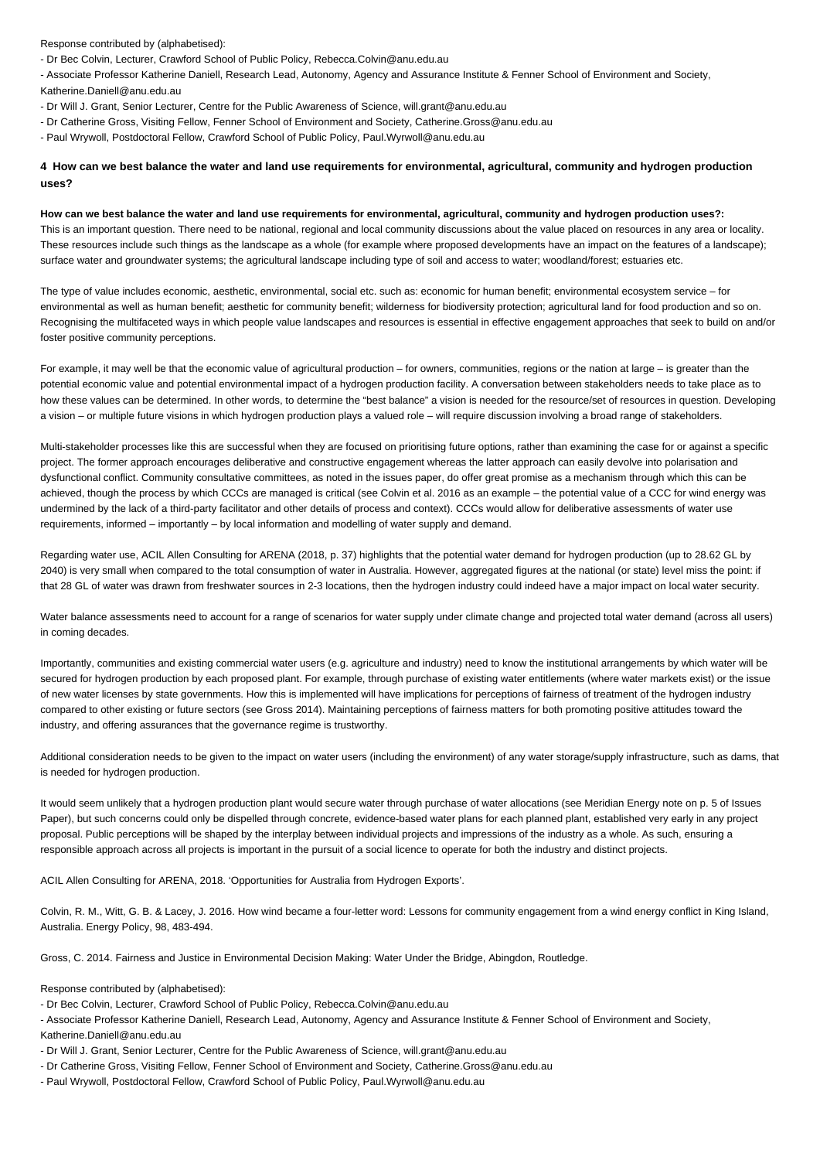Response contributed by (alphabetised):

- Dr Bec Colvin, Lecturer, Crawford School of Public Policy, Rebecca.Colvin@anu.edu.au

- Associate Professor Katherine Daniell, Research Lead, Autonomy, Agency and Assurance Institute & Fenner School of Environment and Society, Katherine.Daniell@anu.edu.au

- Dr Will J. Grant, Senior Lecturer, Centre for the Public Awareness of Science, will.grant@anu.edu.au
- Dr Catherine Gross, Visiting Fellow, Fenner School of Environment and Society, Catherine.Gross@anu.edu.au
- Paul Wrywoll, Postdoctoral Fellow, Crawford School of Public Policy, Paul.Wyrwoll@anu.edu.au

## **4 How can we best balance the water and land use requirements for environmental, agricultural, community and hydrogen production uses?**

#### **How can we best balance the water and land use requirements for environmental, agricultural, community and hydrogen production uses?:**

This is an important question. There need to be national, regional and local community discussions about the value placed on resources in any area or locality. These resources include such things as the landscape as a whole (for example where proposed developments have an impact on the features of a landscape); surface water and groundwater systems; the agricultural landscape including type of soil and access to water; woodland/forest; estuaries etc.

The type of value includes economic, aesthetic, environmental, social etc. such as: economic for human benefit; environmental ecosystem service – for environmental as well as human benefit; aesthetic for community benefit; wilderness for biodiversity protection; agricultural land for food production and so on. Recognising the multifaceted ways in which people value landscapes and resources is essential in effective engagement approaches that seek to build on and/or foster positive community perceptions.

For example, it may well be that the economic value of agricultural production – for owners, communities, regions or the nation at large – is greater than the potential economic value and potential environmental impact of a hydrogen production facility. A conversation between stakeholders needs to take place as to how these values can be determined. In other words, to determine the "best balance" a vision is needed for the resource/set of resources in question. Developing a vision – or multiple future visions in which hydrogen production plays a valued role – will require discussion involving a broad range of stakeholders.

Multi-stakeholder processes like this are successful when they are focused on prioritising future options, rather than examining the case for or against a specific project. The former approach encourages deliberative and constructive engagement whereas the latter approach can easily devolve into polarisation and dysfunctional conflict. Community consultative committees, as noted in the issues paper, do offer great promise as a mechanism through which this can be achieved, though the process by which CCCs are managed is critical (see Colvin et al. 2016 as an example – the potential value of a CCC for wind energy was undermined by the lack of a third-party facilitator and other details of process and context). CCCs would allow for deliberative assessments of water use requirements, informed – importantly – by local information and modelling of water supply and demand.

Regarding water use, ACIL Allen Consulting for ARENA (2018, p. 37) highlights that the potential water demand for hydrogen production (up to 28.62 GL by 2040) is very small when compared to the total consumption of water in Australia. However, aggregated figures at the national (or state) level miss the point: if that 28 GL of water was drawn from freshwater sources in 2-3 locations, then the hydrogen industry could indeed have a major impact on local water security.

Water balance assessments need to account for a range of scenarios for water supply under climate change and projected total water demand (across all users) in coming decades.

Importantly, communities and existing commercial water users (e.g. agriculture and industry) need to know the institutional arrangements by which water will be secured for hydrogen production by each proposed plant. For example, through purchase of existing water entitlements (where water markets exist) or the issue of new water licenses by state governments. How this is implemented will have implications for perceptions of fairness of treatment of the hydrogen industry compared to other existing or future sectors (see Gross 2014). Maintaining perceptions of fairness matters for both promoting positive attitudes toward the industry, and offering assurances that the governance regime is trustworthy.

Additional consideration needs to be given to the impact on water users (including the environment) of any water storage/supply infrastructure, such as dams, that is needed for hydrogen production.

It would seem unlikely that a hydrogen production plant would secure water through purchase of water allocations (see Meridian Energy note on p. 5 of Issues Paper), but such concerns could only be dispelled through concrete, evidence-based water plans for each planned plant, established very early in any project proposal. Public perceptions will be shaped by the interplay between individual projects and impressions of the industry as a whole. As such, ensuring a responsible approach across all projects is important in the pursuit of a social licence to operate for both the industry and distinct projects.

ACIL Allen Consulting for ARENA, 2018. 'Opportunities for Australia from Hydrogen Exports'.

Colvin, R. M., Witt, G. B. & Lacey, J. 2016. How wind became a four-letter word: Lessons for community engagement from a wind energy conflict in King Island, Australia. Energy Policy, 98, 483-494.

Gross, C. 2014. Fairness and Justice in Environmental Decision Making: Water Under the Bridge, Abingdon, Routledge.

Response contributed by (alphabetised):

- Dr Bec Colvin, Lecturer, Crawford School of Public Policy, Rebecca.Colvin@anu.edu.au
- Associate Professor Katherine Daniell, Research Lead, Autonomy, Agency and Assurance Institute & Fenner School of Environment and Society, Katherine.Daniell@anu.edu.au
- Dr Will J. Grant, Senior Lecturer, Centre for the Public Awareness of Science, will.grant@anu.edu.au
- Dr Catherine Gross, Visiting Fellow, Fenner School of Environment and Society, Catherine.Gross@anu.edu.au
- Paul Wrywoll, Postdoctoral Fellow, Crawford School of Public Policy, Paul.Wyrwoll@anu.edu.au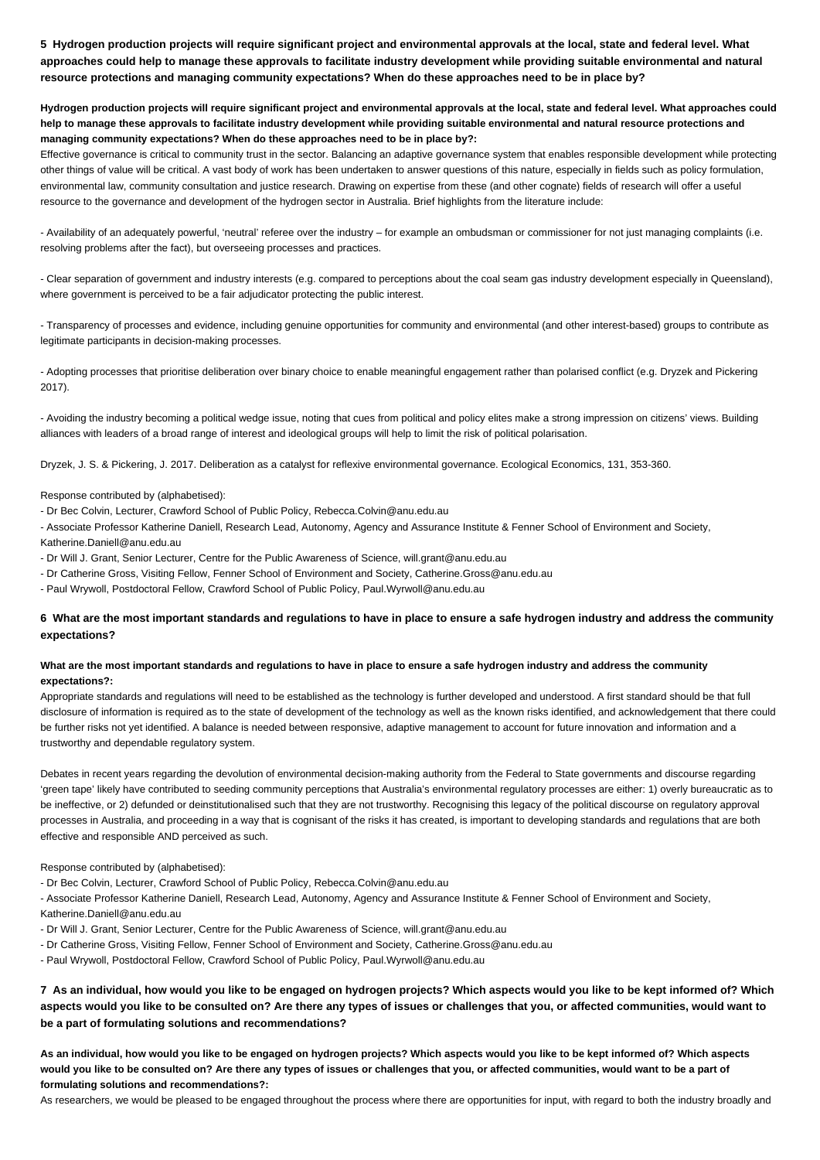**5 Hydrogen production projects will require significant project and environmental approvals at the local, state and federal level. What approaches could help to manage these approvals to facilitate industry development while providing suitable environmental and natural resource protections and managing community expectations? When do these approaches need to be in place by?**

**Hydrogen production projects will require significant project and environmental approvals at the local, state and federal level. What approaches could help to manage these approvals to facilitate industry development while providing suitable environmental and natural resource protections and managing community expectations? When do these approaches need to be in place by?:**

Effective governance is critical to community trust in the sector. Balancing an adaptive governance system that enables responsible development while protecting other things of value will be critical. A vast body of work has been undertaken to answer questions of this nature, especially in fields such as policy formulation, environmental law, community consultation and justice research. Drawing on expertise from these (and other cognate) fields of research will offer a useful resource to the governance and development of the hydrogen sector in Australia. Brief highlights from the literature include:

- Availability of an adequately powerful, 'neutral' referee over the industry – for example an ombudsman or commissioner for not just managing complaints (i.e. resolving problems after the fact), but overseeing processes and practices.

- Clear separation of government and industry interests (e.g. compared to perceptions about the coal seam gas industry development especially in Queensland), where government is perceived to be a fair adjudicator protecting the public interest.

- Transparency of processes and evidence, including genuine opportunities for community and environmental (and other interest-based) groups to contribute as legitimate participants in decision-making processes.

- Adopting processes that prioritise deliberation over binary choice to enable meaningful engagement rather than polarised conflict (e.g. Dryzek and Pickering 2017).

- Avoiding the industry becoming a political wedge issue, noting that cues from political and policy elites make a strong impression on citizens' views. Building alliances with leaders of a broad range of interest and ideological groups will help to limit the risk of political polarisation.

Dryzek, J. S. & Pickering, J. 2017. Deliberation as a catalyst for reflexive environmental governance. Ecological Economics, 131, 353-360.

Response contributed by (alphabetised):

- Dr Bec Colvin, Lecturer, Crawford School of Public Policy, Rebecca.Colvin@anu.edu.au

- Associate Professor Katherine Daniell, Research Lead, Autonomy, Agency and Assurance Institute & Fenner School of Environment and Society,

Katherine.Daniell@anu.edu.au

- Dr Will J. Grant, Senior Lecturer, Centre for the Public Awareness of Science, will.grant@anu.edu.au

- Dr Catherine Gross, Visiting Fellow, Fenner School of Environment and Society, Catherine.Gross@anu.edu.au

- Paul Wrywoll, Postdoctoral Fellow, Crawford School of Public Policy, Paul.Wyrwoll@anu.edu.au

## **6 What are the most important standards and regulations to have in place to ensure a safe hydrogen industry and address the community expectations?**

## **What are the most important standards and regulations to have in place to ensure a safe hydrogen industry and address the community expectations?:**

Appropriate standards and regulations will need to be established as the technology is further developed and understood. A first standard should be that full disclosure of information is required as to the state of development of the technology as well as the known risks identified, and acknowledgement that there could be further risks not yet identified. A balance is needed between responsive, adaptive management to account for future innovation and information and a trustworthy and dependable regulatory system.

Debates in recent years regarding the devolution of environmental decision-making authority from the Federal to State governments and discourse regarding 'green tape' likely have contributed to seeding community perceptions that Australia's environmental regulatory processes are either: 1) overly bureaucratic as to be ineffective, or 2) defunded or deinstitutionalised such that they are not trustworthy. Recognising this legacy of the political discourse on regulatory approval processes in Australia, and proceeding in a way that is cognisant of the risks it has created, is important to developing standards and regulations that are both effective and responsible AND perceived as such.

Response contributed by (alphabetised):

- Dr Bec Colvin, Lecturer, Crawford School of Public Policy, Rebecca.Colvin@anu.edu.au

- Associate Professor Katherine Daniell, Research Lead, Autonomy, Agency and Assurance Institute & Fenner School of Environment and Society, Katherine.Daniell@anu.edu.au

- Dr Will J. Grant, Senior Lecturer, Centre for the Public Awareness of Science, will.grant@anu.edu.au

- Dr Catherine Gross, Visiting Fellow, Fenner School of Environment and Society, Catherine.Gross@anu.edu.au

- Paul Wrywoll, Postdoctoral Fellow, Crawford School of Public Policy, Paul.Wyrwoll@anu.edu.au

**7 As an individual, how would you like to be engaged on hydrogen projects? Which aspects would you like to be kept informed of? Which aspects would you like to be consulted on? Are there any types of issues or challenges that you, or affected communities, would want to be a part of formulating solutions and recommendations?**

**As an individual, how would you like to be engaged on hydrogen projects? Which aspects would you like to be kept informed of? Which aspects**  would you like to be consulted on? Are there any types of issues or challenges that you, or affected communities, would want to be a part of **formulating solutions and recommendations?:**

As researchers, we would be pleased to be engaged throughout the process where there are opportunities for input, with regard to both the industry broadly and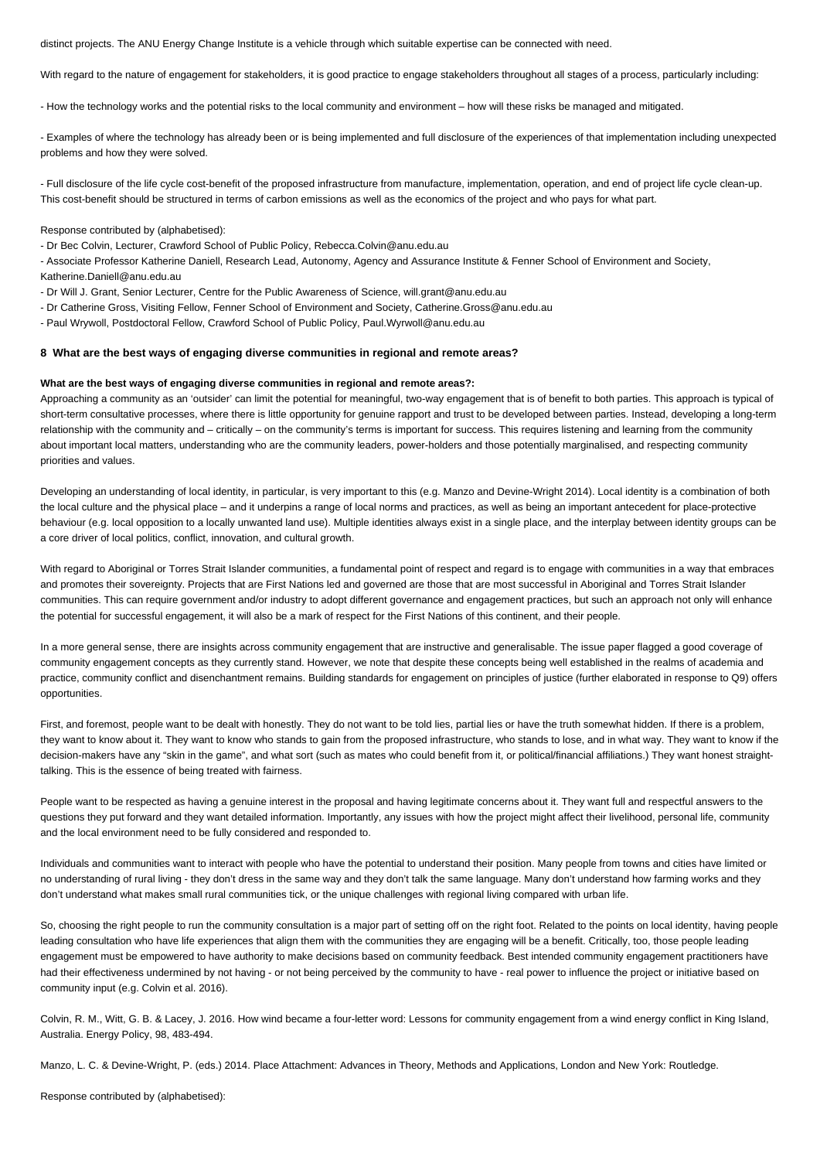distinct projects. The ANU Energy Change Institute is a vehicle through which suitable expertise can be connected with need.

With regard to the nature of engagement for stakeholders, it is good practice to engage stakeholders throughout all stages of a process, particularly including:

- How the technology works and the potential risks to the local community and environment – how will these risks be managed and mitigated.

- Examples of where the technology has already been or is being implemented and full disclosure of the experiences of that implementation including unexpected problems and how they were solved.

- Full disclosure of the life cycle cost-benefit of the proposed infrastructure from manufacture, implementation, operation, and end of project life cycle clean-up. This cost-benefit should be structured in terms of carbon emissions as well as the economics of the project and who pays for what part.

Response contributed by (alphabetised):

- Dr Bec Colvin, Lecturer, Crawford School of Public Policy, Rebecca.Colvin@anu.edu.au

- Associate Professor Katherine Daniell, Research Lead, Autonomy, Agency and Assurance Institute & Fenner School of Environment and Society, Katherine.Daniell@anu.edu.au

- Dr Will J. Grant, Senior Lecturer, Centre for the Public Awareness of Science, will.grant@anu.edu.au
- Dr Catherine Gross, Visiting Fellow, Fenner School of Environment and Society, Catherine.Gross@anu.edu.au

- Paul Wrywoll, Postdoctoral Fellow, Crawford School of Public Policy, Paul.Wyrwoll@anu.edu.au

## **8 What are the best ways of engaging diverse communities in regional and remote areas?**

#### **What are the best ways of engaging diverse communities in regional and remote areas?:**

Approaching a community as an 'outsider' can limit the potential for meaningful, two-way engagement that is of benefit to both parties. This approach is typical of short-term consultative processes, where there is little opportunity for genuine rapport and trust to be developed between parties. Instead, developing a long-term relationship with the community and – critically – on the community's terms is important for success. This requires listening and learning from the community about important local matters, understanding who are the community leaders, power-holders and those potentially marginalised, and respecting community priorities and values.

Developing an understanding of local identity, in particular, is very important to this (e.g. Manzo and Devine-Wright 2014). Local identity is a combination of both the local culture and the physical place – and it underpins a range of local norms and practices, as well as being an important antecedent for place-protective behaviour (e.g. local opposition to a locally unwanted land use). Multiple identities always exist in a single place, and the interplay between identity groups can be a core driver of local politics, conflict, innovation, and cultural growth.

With regard to Aboriginal or Torres Strait Islander communities, a fundamental point of respect and regard is to engage with communities in a way that embraces and promotes their sovereignty. Projects that are First Nations led and governed are those that are most successful in Aboriginal and Torres Strait Islander communities. This can require government and/or industry to adopt different governance and engagement practices, but such an approach not only will enhance the potential for successful engagement, it will also be a mark of respect for the First Nations of this continent, and their people.

In a more general sense, there are insights across community engagement that are instructive and generalisable. The issue paper flagged a good coverage of community engagement concepts as they currently stand. However, we note that despite these concepts being well established in the realms of academia and practice, community conflict and disenchantment remains. Building standards for engagement on principles of justice (further elaborated in response to Q9) offers opportunities.

First, and foremost, people want to be dealt with honestly. They do not want to be told lies, partial lies or have the truth somewhat hidden. If there is a problem, they want to know about it. They want to know who stands to gain from the proposed infrastructure, who stands to lose, and in what way. They want to know if the decision-makers have any "skin in the game", and what sort (such as mates who could benefit from it, or political/financial affiliations.) They want honest straighttalking. This is the essence of being treated with fairness.

People want to be respected as having a genuine interest in the proposal and having legitimate concerns about it. They want full and respectful answers to the questions they put forward and they want detailed information. Importantly, any issues with how the project might affect their livelihood, personal life, community and the local environment need to be fully considered and responded to.

Individuals and communities want to interact with people who have the potential to understand their position. Many people from towns and cities have limited or no understanding of rural living - they don't dress in the same way and they don't talk the same language. Many don't understand how farming works and they don't understand what makes small rural communities tick, or the unique challenges with regional living compared with urban life.

So, choosing the right people to run the community consultation is a major part of setting off on the right foot. Related to the points on local identity, having people leading consultation who have life experiences that align them with the communities they are engaging will be a benefit. Critically, too, those people leading engagement must be empowered to have authority to make decisions based on community feedback. Best intended community engagement practitioners have had their effectiveness undermined by not having - or not being perceived by the community to have - real power to influence the project or initiative based on community input (e.g. Colvin et al. 2016).

Colvin, R. M., Witt, G. B. & Lacey, J. 2016. How wind became a four-letter word: Lessons for community engagement from a wind energy conflict in King Island, Australia. Energy Policy, 98, 483-494.

Manzo, L. C. & Devine-Wright, P. (eds.) 2014. Place Attachment: Advances in Theory, Methods and Applications, London and New York: Routledge.

Response contributed by (alphabetised):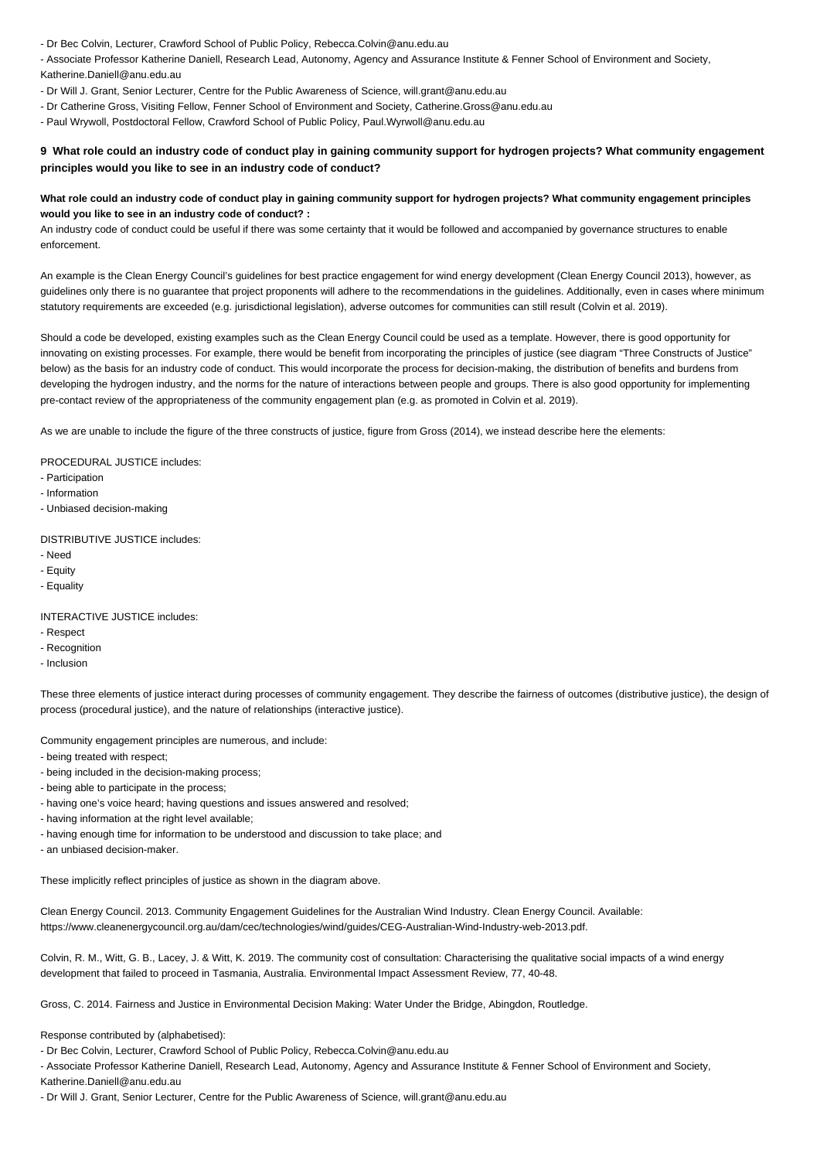- Dr Bec Colvin, Lecturer, Crawford School of Public Policy, Rebecca.Colvin@anu.edu.au

- Associate Professor Katherine Daniell, Research Lead, Autonomy, Agency and Assurance Institute & Fenner School of Environment and Society, Katherine.Daniell@anu.edu.au

- Dr Will J. Grant, Senior Lecturer, Centre for the Public Awareness of Science, will.grant@anu.edu.au
- Dr Catherine Gross, Visiting Fellow, Fenner School of Environment and Society, Catherine.Gross@anu.edu.au

- Paul Wrywoll, Postdoctoral Fellow, Crawford School of Public Policy, Paul.Wyrwoll@anu.edu.au

## **9 What role could an industry code of conduct play in gaining community support for hydrogen projects? What community engagement principles would you like to see in an industry code of conduct?**

## **What role could an industry code of conduct play in gaining community support for hydrogen projects? What community engagement principles would you like to see in an industry code of conduct? :**

An industry code of conduct could be useful if there was some certainty that it would be followed and accompanied by governance structures to enable enforcement.

An example is the Clean Energy Council's guidelines for best practice engagement for wind energy development (Clean Energy Council 2013), however, as guidelines only there is no guarantee that project proponents will adhere to the recommendations in the guidelines. Additionally, even in cases where minimum statutory requirements are exceeded (e.g. jurisdictional legislation), adverse outcomes for communities can still result (Colvin et al. 2019).

Should a code be developed, existing examples such as the Clean Energy Council could be used as a template. However, there is good opportunity for innovating on existing processes. For example, there would be benefit from incorporating the principles of justice (see diagram "Three Constructs of Justice" below) as the basis for an industry code of conduct. This would incorporate the process for decision-making, the distribution of benefits and burdens from developing the hydrogen industry, and the norms for the nature of interactions between people and groups. There is also good opportunity for implementing pre-contact review of the appropriateness of the community engagement plan (e.g. as promoted in Colvin et al. 2019).

As we are unable to include the figure of the three constructs of justice, figure from Gross (2014), we instead describe here the elements:

## PROCEDURAL JUSTICE includes:

- Participation
- Information
- Unbiased decision-making

## DISTRIBUTIVE JUSTICE includes:

- Need
- Equity
- Equality

#### INTERACTIVE JUSTICE includes:

- Respect
- Recognition
- Inclusion

These three elements of justice interact during processes of community engagement. They describe the fairness of outcomes (distributive justice), the design of process (procedural justice), and the nature of relationships (interactive justice).

Community engagement principles are numerous, and include:

- being treated with respect;
- being included in the decision-making process;
- being able to participate in the process;
- having one's voice heard; having questions and issues answered and resolved;
- having information at the right level available;
- having enough time for information to be understood and discussion to take place; and
- an unbiased decision-maker.

These implicitly reflect principles of justice as shown in the diagram above.

Clean Energy Council. 2013. Community Engagement Guidelines for the Australian Wind Industry. Clean Energy Council. Available: https://www.cleanenergycouncil.org.au/dam/cec/technologies/wind/guides/CEG-Australian-Wind-Industry-web-2013.pdf.

Colvin, R. M., Witt, G. B., Lacey, J. & Witt, K. 2019. The community cost of consultation: Characterising the qualitative social impacts of a wind energy development that failed to proceed in Tasmania, Australia. Environmental Impact Assessment Review, 77, 40-48.

Gross, C. 2014. Fairness and Justice in Environmental Decision Making: Water Under the Bridge, Abingdon, Routledge.

Response contributed by (alphabetised):

- Dr Bec Colvin, Lecturer, Crawford School of Public Policy, Rebecca.Colvin@anu.edu.au

- Associate Professor Katherine Daniell, Research Lead, Autonomy, Agency and Assurance Institute & Fenner School of Environment and Society, Katherine.Daniell@anu.edu.au

- Dr Will J. Grant, Senior Lecturer, Centre for the Public Awareness of Science, will.grant@anu.edu.au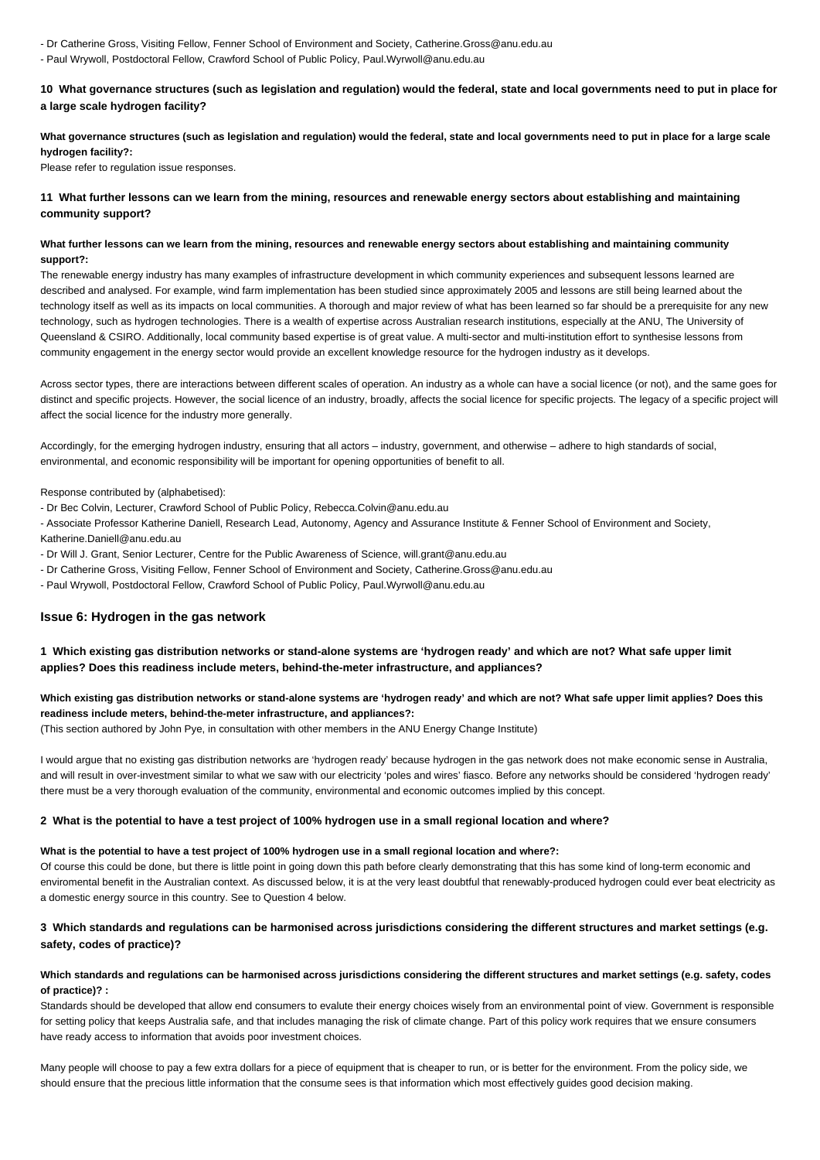- Dr Catherine Gross, Visiting Fellow, Fenner School of Environment and Society, Catherine.Gross@anu.edu.au
- Paul Wrywoll, Postdoctoral Fellow, Crawford School of Public Policy, Paul.Wyrwoll@anu.edu.au

**10 What governance structures (such as legislation and regulation) would the federal, state and local governments need to put in place for a large scale hydrogen facility?**

## **What governance structures (such as legislation and regulation) would the federal, state and local governments need to put in place for a large scale hydrogen facility?:**

Please refer to regulation issue responses.

## **11 What further lessons can we learn from the mining, resources and renewable energy sectors about establishing and maintaining community support?**

## **What further lessons can we learn from the mining, resources and renewable energy sectors about establishing and maintaining community support?:**

The renewable energy industry has many examples of infrastructure development in which community experiences and subsequent lessons learned are described and analysed. For example, wind farm implementation has been studied since approximately 2005 and lessons are still being learned about the technology itself as well as its impacts on local communities. A thorough and major review of what has been learned so far should be a prerequisite for any new technology, such as hydrogen technologies. There is a wealth of expertise across Australian research institutions, especially at the ANU, The University of Queensland & CSIRO. Additionally, local community based expertise is of great value. A multi-sector and multi-institution effort to synthesise lessons from community engagement in the energy sector would provide an excellent knowledge resource for the hydrogen industry as it develops.

Across sector types, there are interactions between different scales of operation. An industry as a whole can have a social licence (or not), and the same goes for distinct and specific projects. However, the social licence of an industry, broadly, affects the social licence for specific projects. The legacy of a specific project will affect the social licence for the industry more generally.

Accordingly, for the emerging hydrogen industry, ensuring that all actors – industry, government, and otherwise – adhere to high standards of social, environmental, and economic responsibility will be important for opening opportunities of benefit to all.

Response contributed by (alphabetised):

- Dr Bec Colvin, Lecturer, Crawford School of Public Policy, Rebecca.Colvin@anu.edu.au
- Associate Professor Katherine Daniell, Research Lead, Autonomy, Agency and Assurance Institute & Fenner School of Environment and Society, Katherine.Daniell@anu.edu.au
- Dr Will J. Grant, Senior Lecturer, Centre for the Public Awareness of Science, will.grant@anu.edu.au
- Dr Catherine Gross, Visiting Fellow, Fenner School of Environment and Society, Catherine.Gross@anu.edu.au
- Paul Wrywoll, Postdoctoral Fellow, Crawford School of Public Policy, Paul.Wyrwoll@anu.edu.au

## **Issue 6: Hydrogen in the gas network**

## **1 Which existing gas distribution networks or stand-alone systems are 'hydrogen ready' and which are not? What safe upper limit applies? Does this readiness include meters, behind-the-meter infrastructure, and appliances?**

## **Which existing gas distribution networks or stand-alone systems are 'hydrogen ready' and which are not? What safe upper limit applies? Does this readiness include meters, behind-the-meter infrastructure, and appliances?:**

(This section authored by John Pye, in consultation with other members in the ANU Energy Change Institute)

I would argue that no existing gas distribution networks are 'hydrogen ready' because hydrogen in the gas network does not make economic sense in Australia, and will result in over-investment similar to what we saw with our electricity 'poles and wires' fiasco. Before any networks should be considered 'hydrogen ready' there must be a very thorough evaluation of the community, environmental and economic outcomes implied by this concept.

## **2 What is the potential to have a test project of 100% hydrogen use in a small regional location and where?**

## **What is the potential to have a test project of 100% hydrogen use in a small regional location and where?:**

Of course this could be done, but there is little point in going down this path before clearly demonstrating that this has some kind of long-term economic and enviromental benefit in the Australian context. As discussed below, it is at the very least doubtful that renewably-produced hydrogen could ever beat electricity as a domestic energy source in this country. See to Question 4 below.

## **3 Which standards and regulations can be harmonised across jurisdictions considering the different structures and market settings (e.g. safety, codes of practice)?**

## **Which standards and regulations can be harmonised across jurisdictions considering the different structures and market settings (e.g. safety, codes of practice)? :**

Standards should be developed that allow end consumers to evalute their energy choices wisely from an environmental point of view. Government is responsible for setting policy that keeps Australia safe, and that includes managing the risk of climate change. Part of this policy work requires that we ensure consumers have ready access to information that avoids poor investment choices.

Many people will choose to pay a few extra dollars for a piece of equipment that is cheaper to run, or is better for the environment. From the policy side, we should ensure that the precious little information that the consume sees is that information which most effectively guides good decision making.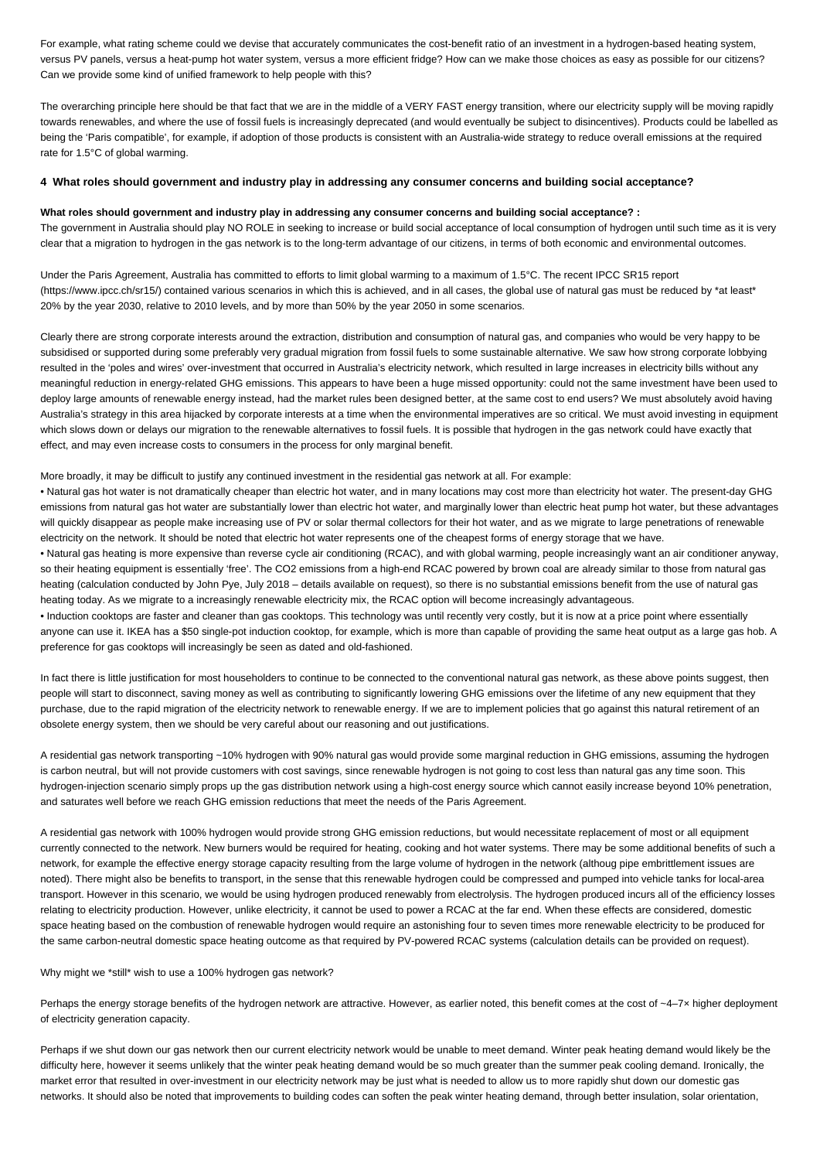For example, what rating scheme could we devise that accurately communicates the cost-benefit ratio of an investment in a hydrogen-based heating system, versus PV panels, versus a heat-pump hot water system, versus a more efficient fridge? How can we make those choices as easy as possible for our citizens? Can we provide some kind of unified framework to help people with this?

The overarching principle here should be that fact that we are in the middle of a VERY FAST energy transition, where our electricity supply will be moving rapidly towards renewables, and where the use of fossil fuels is increasingly deprecated (and would eventually be subject to disincentives). Products could be labelled as being the 'Paris compatible', for example, if adoption of those products is consistent with an Australia-wide strategy to reduce overall emissions at the required rate for 1.5°C of global warming.

#### **4 What roles should government and industry play in addressing any consumer concerns and building social acceptance?**

#### **What roles should government and industry play in addressing any consumer concerns and building social acceptance? :**

The government in Australia should play NO ROLE in seeking to increase or build social acceptance of local consumption of hydrogen until such time as it is very clear that a migration to hydrogen in the gas network is to the long-term advantage of our citizens, in terms of both economic and environmental outcomes.

Under the Paris Agreement, Australia has committed to efforts to limit global warming to a maximum of 1.5°C. The recent IPCC SR15 report (https://www.ipcc.ch/sr15/) contained various scenarios in which this is achieved, and in all cases, the global use of natural gas must be reduced by \*at least\* 20% by the year 2030, relative to 2010 levels, and by more than 50% by the year 2050 in some scenarios.

Clearly there are strong corporate interests around the extraction, distribution and consumption of natural gas, and companies who would be very happy to be subsidised or supported during some preferably very gradual migration from fossil fuels to some sustainable alternative. We saw how strong corporate lobbying resulted in the 'poles and wires' over-investment that occurred in Australia's electricity network, which resulted in large increases in electricity bills without any meaningful reduction in energy-related GHG emissions. This appears to have been a huge missed opportunity: could not the same investment have been used to deploy large amounts of renewable energy instead, had the market rules been designed better, at the same cost to end users? We must absolutely avoid having Australia's strategy in this area hijacked by corporate interests at a time when the environmental imperatives are so critical. We must avoid investing in equipment which slows down or delays our migration to the renewable alternatives to fossil fuels. It is possible that hydrogen in the gas network could have exactly that effect, and may even increase costs to consumers in the process for only marginal benefit.

More broadly, it may be difficult to justify any continued investment in the residential gas network at all. For example:

• Natural gas hot water is not dramatically cheaper than electric hot water, and in many locations may cost more than electricity hot water. The present-day GHG emissions from natural gas hot water are substantially lower than electric hot water, and marginally lower than electric heat pump hot water, but these advantages will quickly disappear as people make increasing use of PV or solar thermal collectors for their hot water, and as we migrate to large penetrations of renewable electricity on the network. It should be noted that electric hot water represents one of the cheapest forms of energy storage that we have.

• Natural gas heating is more expensive than reverse cycle air conditioning (RCAC), and with global warming, people increasingly want an air conditioner anyway, so their heating equipment is essentially 'free'. The CO2 emissions from a high-end RCAC powered by brown coal are already similar to those from natural gas heating (calculation conducted by John Pye, July 2018 – details available on request), so there is no substantial emissions benefit from the use of natural gas heating today. As we migrate to a increasingly renewable electricity mix, the RCAC option will become increasingly advantageous.

• Induction cooktops are faster and cleaner than gas cooktops. This technology was until recently very costly, but it is now at a price point where essentially anyone can use it. IKEA has a \$50 single-pot induction cooktop, for example, which is more than capable of providing the same heat output as a large gas hob. A preference for gas cooktops will increasingly be seen as dated and old-fashioned.

In fact there is little justification for most householders to continue to be connected to the conventional natural gas network, as these above points suggest, then people will start to disconnect, saving money as well as contributing to significantly lowering GHG emissions over the lifetime of any new equipment that they purchase, due to the rapid migration of the electricity network to renewable energy. If we are to implement policies that go against this natural retirement of an obsolete energy system, then we should be very careful about our reasoning and out justifications.

A residential gas network transporting ~10% hydrogen with 90% natural gas would provide some marginal reduction in GHG emissions, assuming the hydrogen is carbon neutral, but will not provide customers with cost savings, since renewable hydrogen is not going to cost less than natural gas any time soon. This hydrogen-injection scenario simply props up the gas distribution network using a high-cost energy source which cannot easily increase beyond 10% penetration, and saturates well before we reach GHG emission reductions that meet the needs of the Paris Agreement.

A residential gas network with 100% hydrogen would provide strong GHG emission reductions, but would necessitate replacement of most or all equipment currently connected to the network. New burners would be required for heating, cooking and hot water systems. There may be some additional benefits of such a network, for example the effective energy storage capacity resulting from the large volume of hydrogen in the network (althoug pipe embrittlement issues are noted). There might also be benefits to transport, in the sense that this renewable hydrogen could be compressed and pumped into vehicle tanks for local-area transport. However in this scenario, we would be using hydrogen produced renewably from electrolysis. The hydrogen produced incurs all of the efficiency losses relating to electricity production. However, unlike electricity, it cannot be used to power a RCAC at the far end. When these effects are considered, domestic space heating based on the combustion of renewable hydrogen would require an astonishing four to seven times more renewable electricity to be produced for the same carbon-neutral domestic space heating outcome as that required by PV-powered RCAC systems (calculation details can be provided on request).

#### Why might we \*still\* wish to use a 100% hydrogen gas network?

Perhaps the energy storage benefits of the hydrogen network are attractive. However, as earlier noted, this benefit comes at the cost of ~4–7× higher deployment of electricity generation capacity.

Perhaps if we shut down our gas network then our current electricity network would be unable to meet demand. Winter peak heating demand would likely be the difficulty here, however it seems unlikely that the winter peak heating demand would be so much greater than the summer peak cooling demand. Ironically, the market error that resulted in over-investment in our electricity network may be just what is needed to allow us to more rapidly shut down our domestic gas networks. It should also be noted that improvements to building codes can soften the peak winter heating demand, through better insulation, solar orientation,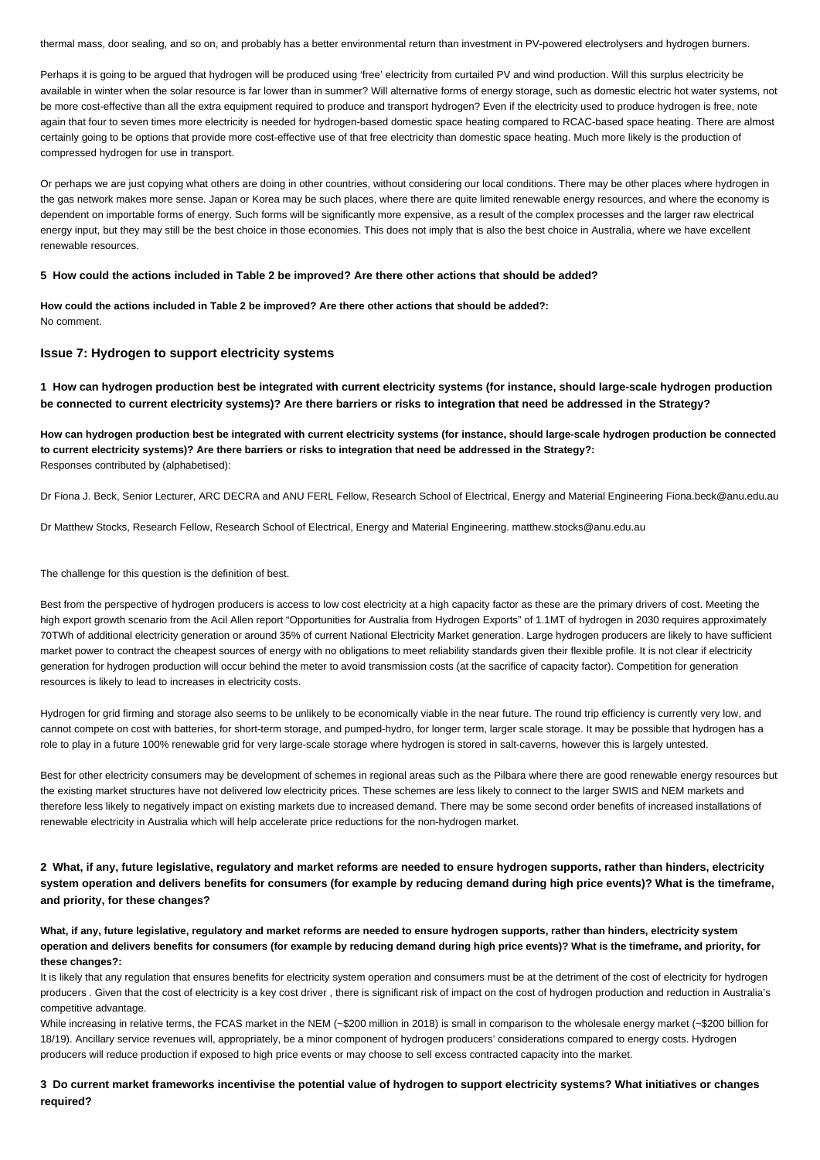thermal mass, door sealing, and so on, and probably has a better environmental return than investment in PV-powered electrolysers and hydrogen burners.

Perhaps it is going to be argued that hydrogen will be produced using 'free' electricity from curtailed PV and wind production. Will this surplus electricity be available in winter when the solar resource is far lower than in summer? Will alternative forms of energy storage, such as domestic electric hot water systems, not be more cost-effective than all the extra equipment required to produce and transport hydrogen? Even if the electricity used to produce hydrogen is free, note again that four to seven times more electricity is needed for hydrogen-based domestic space heating compared to RCAC-based space heating. There are almost certainly going to be options that provide more cost-effective use of that free electricity than domestic space heating. Much more likely is the production of compressed hydrogen for use in transport.

Or perhaps we are just copying what others are doing in other countries, without considering our local conditions. There may be other places where hydrogen in the gas network makes more sense. Japan or Korea may be such places, where there are quite limited renewable energy resources, and where the economy is dependent on importable forms of energy. Such forms will be significantly more expensive, as a result of the complex processes and the larger raw electrical energy input, but they may still be the best choice in those economies. This does not imply that is also the best choice in Australia, where we have excellent renewable resources.

#### **5 How could the actions included in Table 2 be improved? Are there other actions that should be added?**

**How could the actions included in Table 2 be improved? Are there other actions that should be added?:** No comment.

## **Issue 7: Hydrogen to support electricity systems**

**1 How can hydrogen production best be integrated with current electricity systems (for instance, should large-scale hydrogen production be connected to current electricity systems)? Are there barriers or risks to integration that need be addressed in the Strategy?**

**How can hydrogen production best be integrated with current electricity systems (for instance, should large-scale hydrogen production be connected to current electricity systems)? Are there barriers or risks to integration that need be addressed in the Strategy?:** Responses contributed by (alphabetised):

Dr Fiona J. Beck, Senior Lecturer, ARC DECRA and ANU FERL Fellow, Research School of Electrical, Energy and Material Engineering Fiona.beck@anu.edu.au

Dr Matthew Stocks, Research Fellow, Research School of Electrical, Energy and Material Engineering. matthew.stocks@anu.edu.au

The challenge for this question is the definition of best.

Best from the perspective of hydrogen producers is access to low cost electricity at a high capacity factor as these are the primary drivers of cost. Meeting the high export growth scenario from the Acil Allen report "Opportunities for Australia from Hydrogen Exports" of 1.1MT of hydrogen in 2030 requires approximately 70TWh of additional electricity generation or around 35% of current National Electricity Market generation. Large hydrogen producers are likely to have sufficient market power to contract the cheapest sources of energy with no obligations to meet reliability standards given their flexible profile. It is not clear if electricity generation for hydrogen production will occur behind the meter to avoid transmission costs (at the sacrifice of capacity factor). Competition for generation resources is likely to lead to increases in electricity costs.

Hydrogen for grid firming and storage also seems to be unlikely to be economically viable in the near future. The round trip efficiency is currently very low, and cannot compete on cost with batteries, for short-term storage, and pumped-hydro, for longer term, larger scale storage. It may be possible that hydrogen has a role to play in a future 100% renewable grid for very large-scale storage where hydrogen is stored in salt-caverns, however this is largely untested.

Best for other electricity consumers may be development of schemes in regional areas such as the Pilbara where there are good renewable energy resources but the existing market structures have not delivered low electricity prices. These schemes are less likely to connect to the larger SWIS and NEM markets and therefore less likely to negatively impact on existing markets due to increased demand. There may be some second order benefits of increased installations of renewable electricity in Australia which will help accelerate price reductions for the non-hydrogen market.

**2 What, if any, future legislative, regulatory and market reforms are needed to ensure hydrogen supports, rather than hinders, electricity system operation and delivers benefits for consumers (for example by reducing demand during high price events)? What is the timeframe, and priority, for these changes?**

**What, if any, future legislative, regulatory and market reforms are needed to ensure hydrogen supports, rather than hinders, electricity system operation and delivers benefits for consumers (for example by reducing demand during high price events)? What is the timeframe, and priority, for these changes?:**

It is likely that any regulation that ensures benefits for electricity system operation and consumers must be at the detriment of the cost of electricity for hydrogen producers . Given that the cost of electricity is a key cost driver, there is significant risk of impact on the cost of hydrogen production and reduction in Australia's competitive advantage.

While increasing in relative terms, the FCAS market in the NEM (~\$200 million in 2018) is small in comparison to the wholesale energy market (~\$200 billion for 18/19). Ancillary service revenues will, appropriately, be a minor component of hydrogen producers' considerations compared to energy costs. Hydrogen producers will reduce production if exposed to high price events or may choose to sell excess contracted capacity into the market.

**3 Do current market frameworks incentivise the potential value of hydrogen to support electricity systems? What initiatives or changes required?**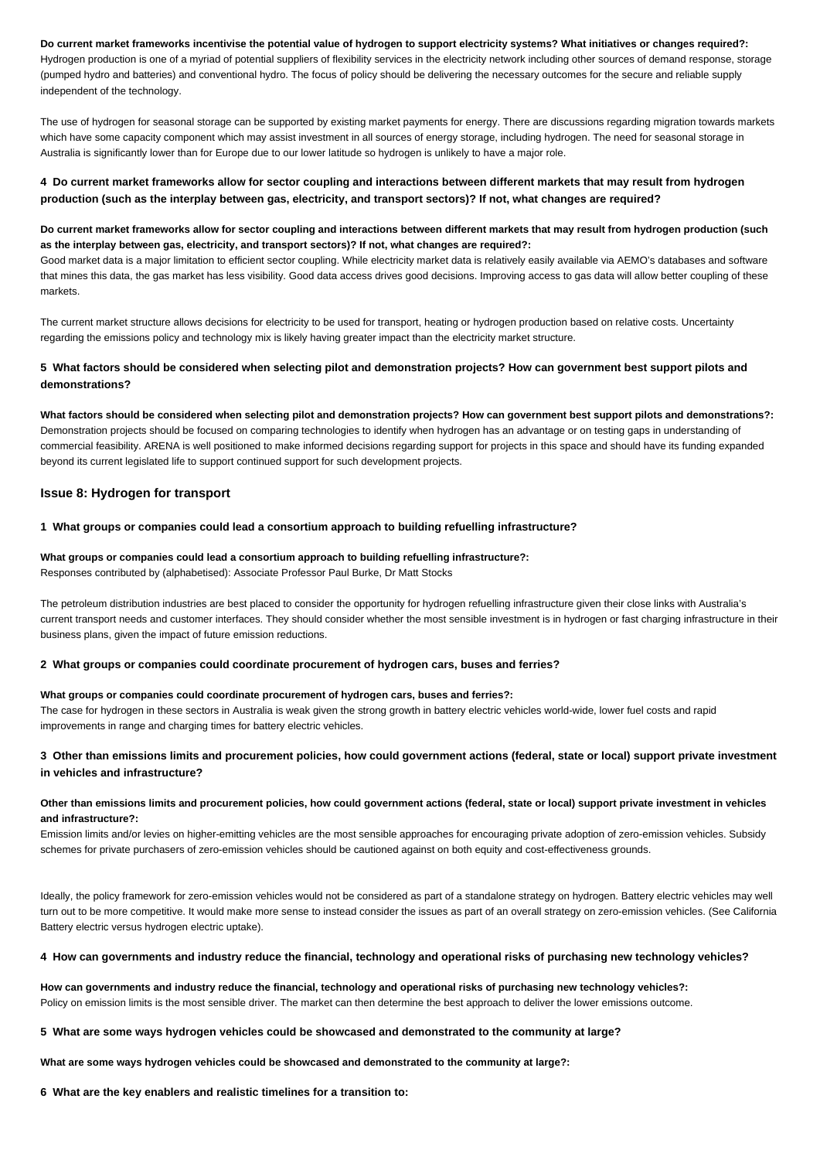#### **Do current market frameworks incentivise the potential value of hydrogen to support electricity systems? What initiatives or changes required?:**

Hydrogen production is one of a myriad of potential suppliers of flexibility services in the electricity network including other sources of demand response, storage (pumped hydro and batteries) and conventional hydro. The focus of policy should be delivering the necessary outcomes for the secure and reliable supply independent of the technology.

The use of hydrogen for seasonal storage can be supported by existing market payments for energy. There are discussions regarding migration towards markets which have some capacity component which may assist investment in all sources of energy storage, including hydrogen. The need for seasonal storage in Australia is significantly lower than for Europe due to our lower latitude so hydrogen is unlikely to have a major role.

## **4 Do current market frameworks allow for sector coupling and interactions between different markets that may result from hydrogen production (such as the interplay between gas, electricity, and transport sectors)? If not, what changes are required?**

## **Do current market frameworks allow for sector coupling and interactions between different markets that may result from hydrogen production (such as the interplay between gas, electricity, and transport sectors)? If not, what changes are required?:**

Good market data is a major limitation to efficient sector coupling. While electricity market data is relatively easily available via AEMO's databases and software that mines this data, the gas market has less visibility. Good data access drives good decisions. Improving access to gas data will allow better coupling of these markets.

The current market structure allows decisions for electricity to be used for transport, heating or hydrogen production based on relative costs. Uncertainty regarding the emissions policy and technology mix is likely having greater impact than the electricity market structure.

## **5 What factors should be considered when selecting pilot and demonstration projects? How can government best support pilots and demonstrations?**

**What factors should be considered when selecting pilot and demonstration projects? How can government best support pilots and demonstrations?:** Demonstration projects should be focused on comparing technologies to identify when hydrogen has an advantage or on testing gaps in understanding of commercial feasibility. ARENA is well positioned to make informed decisions regarding support for projects in this space and should have its funding expanded beyond its current legislated life to support continued support for such development projects.

## **Issue 8: Hydrogen for transport**

## **1 What groups or companies could lead a consortium approach to building refuelling infrastructure?**

## **What groups or companies could lead a consortium approach to building refuelling infrastructure?:** Responses contributed by (alphabetised): Associate Professor Paul Burke, Dr Matt Stocks

The petroleum distribution industries are best placed to consider the opportunity for hydrogen refuelling infrastructure given their close links with Australia's current transport needs and customer interfaces. They should consider whether the most sensible investment is in hydrogen or fast charging infrastructure in their business plans, given the impact of future emission reductions.

#### **2 What groups or companies could coordinate procurement of hydrogen cars, buses and ferries?**

#### **What groups or companies could coordinate procurement of hydrogen cars, buses and ferries?:**

The case for hydrogen in these sectors in Australia is weak given the strong growth in battery electric vehicles world-wide, lower fuel costs and rapid improvements in range and charging times for battery electric vehicles.

## **3 Other than emissions limits and procurement policies, how could government actions (federal, state or local) support private investment in vehicles and infrastructure?**

## **Other than emissions limits and procurement policies, how could government actions (federal, state or local) support private investment in vehicles and infrastructure?:**

Emission limits and/or levies on higher-emitting vehicles are the most sensible approaches for encouraging private adoption of zero-emission vehicles. Subsidy schemes for private purchasers of zero-emission vehicles should be cautioned against on both equity and cost-effectiveness grounds.

Ideally, the policy framework for zero-emission vehicles would not be considered as part of a standalone strategy on hydrogen. Battery electric vehicles may well turn out to be more competitive. It would make more sense to instead consider the issues as part of an overall strategy on zero-emission vehicles. (See California Battery electric versus hydrogen electric uptake).

## **4 How can governments and industry reduce the financial, technology and operational risks of purchasing new technology vehicles?**

**How can governments and industry reduce the financial, technology and operational risks of purchasing new technology vehicles?:** Policy on emission limits is the most sensible driver. The market can then determine the best approach to deliver the lower emissions outcome.

## **5 What are some ways hydrogen vehicles could be showcased and demonstrated to the community at large?**

**What are some ways hydrogen vehicles could be showcased and demonstrated to the community at large?:**

#### **6 What are the key enablers and realistic timelines for a transition to:**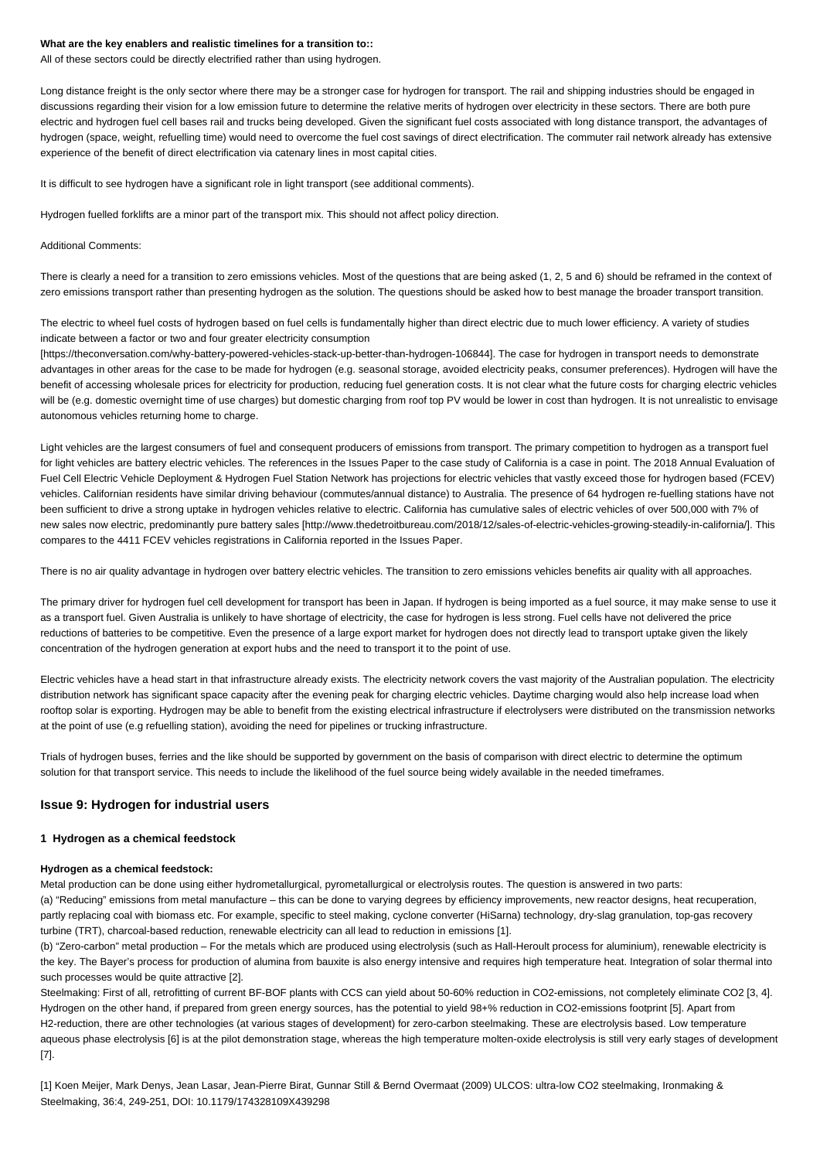#### **What are the key enablers and realistic timelines for a transition to::**

All of these sectors could be directly electrified rather than using hydrogen.

Long distance freight is the only sector where there may be a stronger case for hydrogen for transport. The rail and shipping industries should be engaged in discussions regarding their vision for a low emission future to determine the relative merits of hydrogen over electricity in these sectors. There are both pure electric and hydrogen fuel cell bases rail and trucks being developed. Given the significant fuel costs associated with long distance transport, the advantages of hydrogen (space, weight, refuelling time) would need to overcome the fuel cost savings of direct electrification. The commuter rail network already has extensive experience of the benefit of direct electrification via catenary lines in most capital cities.

It is difficult to see hydrogen have a significant role in light transport (see additional comments).

Hydrogen fuelled forklifts are a minor part of the transport mix. This should not affect policy direction.

#### Additional Comments:

There is clearly a need for a transition to zero emissions vehicles. Most of the questions that are being asked (1, 2, 5 and 6) should be reframed in the context of zero emissions transport rather than presenting hydrogen as the solution. The questions should be asked how to best manage the broader transport transition.

The electric to wheel fuel costs of hydrogen based on fuel cells is fundamentally higher than direct electric due to much lower efficiency. A variety of studies indicate between a factor or two and four greater electricity consumption

[https://theconversation.com/why-battery-powered-vehicles-stack-up-better-than-hydrogen-106844]. The case for hydrogen in transport needs to demonstrate advantages in other areas for the case to be made for hydrogen (e.g. seasonal storage, avoided electricity peaks, consumer preferences). Hydrogen will have the benefit of accessing wholesale prices for electricity for production, reducing fuel generation costs. It is not clear what the future costs for charging electric vehicles will be (e.g. domestic overnight time of use charges) but domestic charging from roof top PV would be lower in cost than hydrogen. It is not unrealistic to envisage autonomous vehicles returning home to charge.

Light vehicles are the largest consumers of fuel and consequent producers of emissions from transport. The primary competition to hydrogen as a transport fuel for light vehicles are battery electric vehicles. The references in the Issues Paper to the case study of California is a case in point. The 2018 Annual Evaluation of Fuel Cell Electric Vehicle Deployment & Hydrogen Fuel Station Network has projections for electric vehicles that vastly exceed those for hydrogen based (FCEV) vehicles. Californian residents have similar driving behaviour (commutes/annual distance) to Australia. The presence of 64 hydrogen re-fuelling stations have not been sufficient to drive a strong uptake in hydrogen vehicles relative to electric. California has cumulative sales of electric vehicles of over 500,000 with 7% of new sales now electric, predominantly pure battery sales [http://www.thedetroitbureau.com/2018/12/sales-of-electric-vehicles-growing-steadily-in-california/]. This compares to the 4411 FCEV vehicles registrations in California reported in the Issues Paper.

There is no air quality advantage in hydrogen over battery electric vehicles. The transition to zero emissions vehicles benefits air quality with all approaches.

The primary driver for hydrogen fuel cell development for transport has been in Japan. If hydrogen is being imported as a fuel source, it may make sense to use it as a transport fuel. Given Australia is unlikely to have shortage of electricity, the case for hydrogen is less strong. Fuel cells have not delivered the price reductions of batteries to be competitive. Even the presence of a large export market for hydrogen does not directly lead to transport uptake given the likely concentration of the hydrogen generation at export hubs and the need to transport it to the point of use.

Electric vehicles have a head start in that infrastructure already exists. The electricity network covers the vast majority of the Australian population. The electricity distribution network has significant space capacity after the evening peak for charging electric vehicles. Daytime charging would also help increase load when rooftop solar is exporting. Hydrogen may be able to benefit from the existing electrical infrastructure if electrolysers were distributed on the transmission networks at the point of use (e.g refuelling station), avoiding the need for pipelines or trucking infrastructure.

Trials of hydrogen buses, ferries and the like should be supported by government on the basis of comparison with direct electric to determine the optimum solution for that transport service. This needs to include the likelihood of the fuel source being widely available in the needed timeframes.

## **Issue 9: Hydrogen for industrial users**

#### **1 Hydrogen as a chemical feedstock**

#### **Hydrogen as a chemical feedstock:**

Metal production can be done using either hydrometallurgical, pyrometallurgical or electrolysis routes. The question is answered in two parts: (a) "Reducing" emissions from metal manufacture – this can be done to varying degrees by efficiency improvements, new reactor designs, heat recuperation, partly replacing coal with biomass etc. For example, specific to steel making, cyclone converter (HiSarna) technology, dry-slag granulation, top-gas recovery turbine (TRT), charcoal-based reduction, renewable electricity can all lead to reduction in emissions [1].

(b) "Zero-carbon" metal production – For the metals which are produced using electrolysis (such as Hall-Heroult process for aluminium), renewable electricity is the key. The Bayer's process for production of alumina from bauxite is also energy intensive and requires high temperature heat. Integration of solar thermal into such processes would be quite attractive [2].

Steelmaking: First of all, retrofitting of current BF-BOF plants with CCS can yield about 50-60% reduction in CO2-emissions, not completely eliminate CO2 [3, 4]. Hydrogen on the other hand, if prepared from green energy sources, has the potential to yield 98+% reduction in CO2-emissions footprint [5]. Apart from H2-reduction, there are other technologies (at various stages of development) for zero-carbon steelmaking. These are electrolysis based. Low temperature aqueous phase electrolysis [6] is at the pilot demonstration stage, whereas the high temperature molten-oxide electrolysis is still very early stages of development [7].

[1] Koen Meijer, Mark Denys, Jean Lasar, Jean-Pierre Birat, Gunnar Still & Bernd Overmaat (2009) ULCOS: ultra-low CO2 steelmaking, Ironmaking & Steelmaking, 36:4, 249-251, DOI: 10.1179/174328109X439298